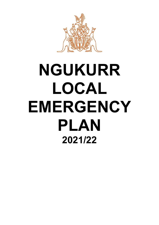

# **NGUKURR LOCAL EMERGENCY PLAN 2021/22**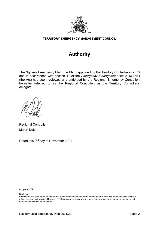

#### **TERRITORY EMERGENCY MANAGEMENT COUNCIL**

# **Authority**

The Ngukurr Emergency Plan (the Plan) approved by the Territory Controller in 2013 and in accordance with section 17 of the *Emergency Management Act 2013* (NT) (the Act) has been reviewed and endorsed by the Regional Emergency Controller, hereafter referred to as the Regional Controller, as the Territory Controller's delegate.

Regional Controller Martin Dole

Dated this 2<sup>nd</sup> day of November 2021

Copyright: 2021

Disclaimer

Every effort has been made to ensure that the information contained within these guidelines is accurate and where possible reflects current best practice. However, NTES does not give any warranty or accept any liability in relation to the content of material contained in the document.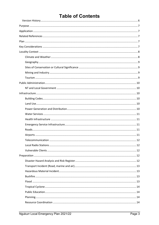# **Table of Contents**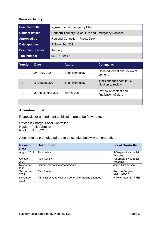#### <span id="page-5-0"></span>**Version History**

| <b>Document title</b>  | <b>Ngukurr Local Emergency Plan</b>                    |
|------------------------|--------------------------------------------------------|
| <b>Contact details</b> | Northern Territory Police, Fire and Emergency Services |
| <b>Approved by</b>     | Regional Controller - Martin Dole                      |
| Date approved          | 2 November 2021                                        |
| <b>Document Review</b> | Annually                                               |
| <b>TRM</b> number      | 04:D21:58147                                           |

| <b>Version</b> | <b>Date</b>                   | <b>Author</b>         | <b>Comments</b>                                |
|----------------|-------------------------------|-----------------------|------------------------------------------------|
| 1.0            | 24th July 2021                | <b>Brian Hennessy</b> | Updated format and review of<br>content.       |
| 1.0            | 3rd August 2021               | <b>Brian Hennessy</b> | Track changes sent to LC<br>Ngukurr to review. |
| 1.0            | 2 <sup>nd</sup> November 2021 | <b>Martin Dole</b>    | Review of content and<br>finalisation of plan. |
|                |                               |                       |                                                |

#### **Amendment List**

Proposals for amendment to this plan are to be forward to:

Officer in Charge, Local Controller Ngukurr Police Station Ngukurr NT 0822

Amendments promulgated are to be certified below when entered:

| <b>Revision</b><br><b>Date</b> | <b>Description</b>                                   | <b>Local Controller</b>                 |
|--------------------------------|------------------------------------------------------|-----------------------------------------|
| August 2019                    | Plan review                                          | <b>R/Sergeant Nathaniel</b><br>Wessling |
| October<br>2020                | <b>Plan Review</b>                                   | R/Sergeant Nathaniel<br>Wessling        |
| November<br>2020               | General formatting amendments                        | Jamie Richardson                        |
| September<br>2021              | <b>Plan Review</b>                                   | Remote Sergeant<br>Nikki JARVIS         |
| November<br>2021               | Administrative review and general formatting changes | R McKinnon / NTPFES                     |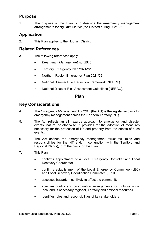# <span id="page-6-0"></span>**Purpose**

1. The purpose of this Plan is to describe the emergency management arrangements for Ngukurr District (the District) during 2021/22.

# <span id="page-6-1"></span>**Application**

2. This Plan applies to the Ngukurr District.

# <span id="page-6-2"></span>**Related References**

- 3. The following references apply:
	- *Emergency Management Act 2013*
	- Territory Emergency Plan 2021/22
	- Northern Region Emergency Plan 2021/22
	- National Disaster Risk Reduction Framework (NDRRF)
	- National Disaster Risk Assessment Guidelines (NERAG).

## **Plan**

# <span id="page-6-4"></span><span id="page-6-3"></span>**Key Considerations**

- 4. The *Emergency Management Act 2013* (the Act) is the legislative basis for emergency management across the Northern Territory (NT).
- 5. The Act reflects an all hazards approach to emergency and disaster events, natural or otherwise. It provides for the adoption of measures necessary for the protection of life and property from the effects of such events.
- 6. The Act defines the emergency management structures, roles and responsibilities for the NT and, in conjunction with the Territory and Regional Plan(s), form the basis for this Plan.
- 7. This Plan:
	- confirms appointment of a Local Emergency Controller and Local Recovery Coordinator
	- confirms establishment of the Local Emergency Committee (LEC) and Local Recovery Coordination Committee (LRCC)
	- assesses hazards most likely to affect the community
	- specifies control and coordination arrangements for mobilisation of local and, if necessary regional, Territory and national resources
	- identifies roles and responsibilities of key stakeholders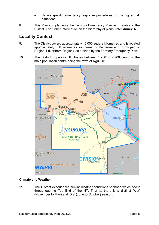- details specific emergency response procedures for the higher risk situations.
- 8. This Plan complements the Territory Emergency Plan as it relates to the District. For further information on the hierarchy of plans, refer **Annex A**.

# <span id="page-7-0"></span>**Locality Context**

- 9. The District covers approximately 45,000 square kilometres and is located approximately 330 kilometres south-east of Katherine and forms part of Region 1 (Northern Region), as defined by the Territory Emergency Plan.
- 10. The District population fluctuates between 1,700 to 2,700 persons, the main population centre being the town of Ngukurr.



#### <span id="page-7-1"></span>**Climate and Weather**

11. The District experiences similar weather conditions to those which occur throughout the Top End of the NT. That is, there is a distinct 'Wet' (November to May) and 'Dry' (June to October) season.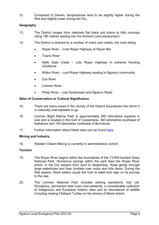12. Compared to Darwin, temperatures tend to be slightly higher during the Wet and slightly lower during the Dry.

#### <span id="page-8-0"></span>**Geography**

- 13. The District ranges from relatively flat black soil plains to hilly outcrops rising 190 metres leading into the Arnhem Land escarpment.
- 14. The District is drained by a number of rivers and creeks, the main being
	- Roper River Cuts Roper Highway at Roper Bar
	- Towns River
	- Hells Gate Creek cuts Roper Highway in extreme flooding conditions
	- Wilton River cuts Roper Highway leading to Ngukurr community
	- Cox River
	- Limmen River
	- Phelp River cuts Numbulwar and Ngukurr Road.

#### <span id="page-8-1"></span>**Sites of Conservation or Cultural Significance**

- 15. There are many areas in the vicinity of the District boundaries into which it is culturally unacceptable to go.
- 16. Limmen Bight Marine Park is approximately 880 kilometres squared in size and is located in the Gulf of Carpentaria, 340 kilometres southeast of Katherine and 100 kilometres northwest of Borroloola.
- 17. Further information about these sites can be found [here.](https://nt.gov.au/environment/environment-data-maps/important-biodiversity-conservation-sites/conservation-significance-list)

#### <span id="page-8-2"></span>**Mining and Industry**

18. Western Desert Mining is currently in administrative control.

#### <span id="page-8-3"></span>**Tourism**

- 19. The Roper River begins within the boundaries of the 13,840-hectare Elsey National Park. Numerous springs within the park feed the Roper River which, in the Dry season from April to September, flows gently through large waterholes and then tumbles over rocks and tufa dams. During the Wet season, flood waters cause the river to swell and rage on its journey to the sea.
- 20. The Limmen National Park includes striking sandstone 'lost city' formations, permanent tidal rivers and wetlands, a considerable collection of Indigenous and European historic sites and an abundance of wildlife including nesting Flatback Turtles on the shores of Maria Island.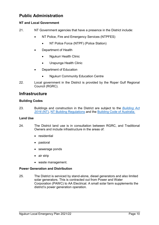# <span id="page-9-0"></span>**Public Administration**

#### <span id="page-9-1"></span>**NT and Local Government**

- 21. NT Government agencies that have a presence in the District include:
	- NT Police, Fire and Emergency Services (NTPFES)
		- NT Police Force (NTPF) (Police Station)
	- Department of Health
		- Ngukurr Health Clinic
		- Urapunga Health Clinic
	- Department of Education
		- Ngukurr Community Education Centre
- 22. Local government in the District is provided by the Roper Gulf Regional Council (RGRC).

# <span id="page-9-2"></span>**Infrastructure**

#### <span id="page-9-3"></span>**Building Codes**

23. Buildings and construction in the District are subject to the *[Building Act](https://legislation.nt.gov.au/en/Legislation/BUILDING-ACT)  [2016](https://legislation.nt.gov.au/en/Legislation/BUILDING-ACT)* (NT), [NT Building Regulations](https://legislation.nt.gov.au/Legislation/BUILDING-REGULATIONS) and the [Building Code of Australia.](https://www.abcb.gov.au/NCC/About)

#### <span id="page-9-4"></span>**Land Use**

- 24. The District land use is in consultation between RGRC, and Traditional Owners and include infrastructure in the areas of:
	- residential
	- pastoral
	- sewerage ponds
	- air strip
	- waste management.

#### <span id="page-9-5"></span>**Power Generation and Distribution**

25. The District is serviced by stand-alone, diesel generators and also limited solar generators. This is contracted out from Power and Water Corporation (PAWC) to AA Electrical. A small solar farm supplements the district's power generation operation.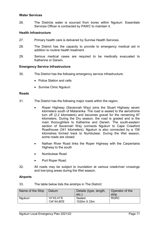#### <span id="page-10-0"></span>**Water Services**

26. The Districts water is sourced from bores within Ngukurr. Essentials Services Officer is contracted by PAWC to maintain it.

#### <span id="page-10-1"></span>**Health Infrastructure**

- 27. Primary health care is delivered by Sunrise Health Services.
- 28. The District has the capacity to provide to emergency medical aid in addition to routine health treatment.
- 29. Serious medical cases are required to be medically evacuated to Katherine or Darwin.

#### <span id="page-10-2"></span>**Emergency Service Infrastructure**

- 30. The District has the following emergency service infrastructure:
	- Police Station and cells
	- Sunrise Clinic Naukurr.

#### <span id="page-10-3"></span>**Roads**

- 31. The District has the following major roads within the region;
	- Roper Highway (Savannah Way) joins the Stuart Highway seven kilometers south of Mataranka. The road is sealed to the aerodrome turn off (2.2 kilometers) and becomes gravel for the remaining 87 kilometers. During the Dry season, the road is graded and is the main thoroughfare to Katherine and Darwin. The south-eastern section of Savannah Way connects Ngukurr to Cape Crawford Roadhouse (341 kilometers). Ngukurr is also connected by a 156 kilometres formed track to Numbulwar. During the Wet season, some roads are closed.
	- Nathan River Road links the Roper Highway with the Carpentaria Highway to the south
	- Numbulwar Road
	- Port Roper Road.
- 32. All roads may be subject to inundation at various creek/river crossings and low-lying areas during the Wet season.

#### <span id="page-10-4"></span>**Airports**

33. The table below lists the airstrips in The District:

| Name of the Strip | Datum                     | Details (type, length,<br>etc. | Operator of the<br>strip |
|-------------------|---------------------------|--------------------------------|--------------------------|
| <b>Ngukurr</b>    | 14°43.41'S<br>134°44.80'E | Sealed.<br>1530m X 33m         | <b>RGRC</b>              |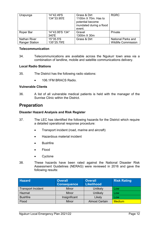| Urapunga                                     | 14°42.49'S<br>134°33.95'E | Grass & Dirt<br>1100m X 70m. Has to<br>potential become<br>inundated during a flood<br>event. | <b>RGRC</b>                                             |
|----------------------------------------------|---------------------------|-----------------------------------------------------------------------------------------------|---------------------------------------------------------|
| Roper Bar                                    | 14°43.95'S 134°<br>340'E  | Gravel<br>1300m X 30m                                                                         | Private                                                 |
| <b>Nathan River</b><br><b>Ranger Station</b> | 15°35.5'S<br>135°25.79'E  | Grass & Dirt                                                                                  | <b>National Parks and</b><br><b>Wildlife Commission</b> |

#### <span id="page-11-0"></span>**Telecommunication**

34. Telecommunications are available across the Ngukurr town area via a combination of landline, mobile and satellite communications delivery.

#### <span id="page-11-1"></span>**Local Radio Stations**

- 35. The District has the following radio stations:
	- 106.1FM BRACS Radio.

#### <span id="page-11-2"></span>**Vulnerable Clients**

36. A list of all vulnerable medical patients is held with the manager of the Sunrise Clinic within the District.

# <span id="page-11-3"></span>**Preparation**

#### <span id="page-11-4"></span>**Disaster Hazard Analysis and Risk Register**

- 37. The LEC has identified the following hazards for the District which require a detailed operational response procedure:
	- Transport incident (road, marine and aircraft)
	- Hazardous material incident
	- **Bushfire**
	- Flood
	- **Cyclone**
- 38. These hazards have been rated against the National Disaster Risk Assessment Guidelines (NERAG) were reviewed in 2016 and gave the following results:

| <b>Hazard</b>             | <b>Overall</b><br><b>Consequence</b> | <b>Overall</b><br><b>Likelihood</b> | <b>Risk Rating</b> |
|---------------------------|--------------------------------------|-------------------------------------|--------------------|
| <b>Transport Incident</b> | <b>Minor</b>                         | Unlikely                            | Low                |
| Hazmat                    | <b>Minor</b>                         | Unlikely                            | Low                |
| <b>Bushfire</b>           | Insignificant                        | Likely                              | Low                |
| Flood                     | <b>Minor</b>                         | <b>Almost Certain</b>               | <b>Medium</b>      |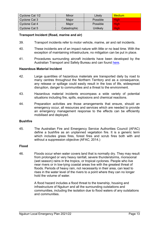| Cyclone Cat 1/2 | Minor        | Likely   | <b>Medium</b> |
|-----------------|--------------|----------|---------------|
| Cyclone Cat 3   | Major        | Possible | Hiah          |
| Cyclone Cat 4   | Major        | Possible | High          |
| Cyclone Cat 5   | Catastrophic | Unlikely | <b>High</b>   |

#### <span id="page-12-0"></span>**Transport Incident (Road, marine and air)**

- 39. Transport incidents refer to motor vehicle, marine, air and rail incidents.
- 40. These incidents are of an impact nature with little or no lead time. With the exception of maintaining infrastructure, no mitigation can be put in place.
- 41. Procedures surrounding aircraft incidents have been developed by the Australian Transport and Safety Bureau and can found [here.](https://www.atsb.gov.au/media/1538966/civil_militaryaccidguide_v5.pdf)

#### <span id="page-12-1"></span>**Hazardous Material Incident**

- 42. Large quantities of hazardous materials are transported daily by road to many centres throughout the Northern Territory and as a consequence, any release or spillage could easily result in the loss of life, widespread disruption, danger to communities and a threat to the environment.
- 43. Hazardous material incidents encompass a wide variety of potential situations including fire, spills, explosions and chemical reactions.
- 44. Preparation activities are those arrangements that ensure, should an emergency occur, all resources and services which are needed to provide an emergency management response to the effects can be efficiently mobilised and deployed.

#### <span id="page-12-2"></span>**Bushfire**

45. The Australian Fire and Emergency Service Authorities Council (AFAC) define a bushfire as an unplanned vegetation fire. It is a generic term which includes grass fires, forest fires and scrub fires both with and without a suppression objective (AFAC, 2014.)

#### <span id="page-12-3"></span>**Flood**

46. Floods occur when water covers land that is normally dry. They may result from prolonged or very heavy rainfall, severe thunderstorms, monsoonal (wet season) rains in the tropics, or tropical cyclones. People who live near rivers or in low-lying coastal areas live with the greatest threat of floods. Periods of heavy rain, not necessarily in their area, can lead to rises in the water level of the rivers to a point where they can no longer hold the volume of water.

> A flood hazard includes a flood threat to the township, housing and infrastructure of Ngukurr and all the surrounding outstations and communities, including the isolation due to flood waters of any outstations and communities.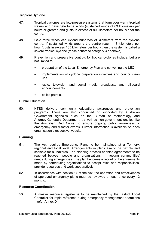#### <span id="page-13-0"></span>**Tropical Cyclone**

- 47. Tropical cyclones are low-pressure systems that form over warm tropical waters and have gale force winds (sustained winds of 63 kilometers per hours or greater, and gusts in excess of 90 kilometers per hour) near the centre.
- 48. Gale force winds can extend hundreds of kilometers from the cyclone centre. If sustained winds around the centre reach 118 kilometers per hour (gusts in excess 165 kilometers per hour) then the system is called a severe tropical cyclone (these equate to category 3 or above).
- 49. Prevention and preparative controls for tropical cyclones include, but are not limited to:
	- preparation of the Local Emergency Plan and convening the LEC
	- implementation of cyclone preparation initiatives and council clean ups
	- radio, television and social media broadcasts and billboard announcements
	- police patrols.

#### <span id="page-13-1"></span>**Public Education**

50. NTES delivers community education, awareness and prevention programs. These are also conducted or supported by Australian Government agencies such as the Bureau of Meteorology and Attorney-General's Department, as well as non-government entities like the Australian Red Cross, to ensure ongoing public awareness of emergency and disaster events. Further information is available on each organisation's respective website.

#### <span id="page-13-2"></span>**Planning**

- 51. The Act requires Emergency Plans to be maintained at a Territory, regional and local level. Arrangements in plans aim to be flexible and scalable for all hazards. The planning process enables agreements to be reached between people and organisations in meeting communities' needs during emergencies. The plan becomes a record of the agreements made by contributing organisations to accept roles and responsibilities, provide resources and work cooperatively.
- 52. In accordance with section 17 of the Act, the operation and effectiveness of approved emergency plans must be reviewed at least once every 12 months.

#### <span id="page-13-3"></span>**Resource Coordination**

53. A master resource register is to be maintained by the District Local Controller for rapid reference during emergency management operations – refer Annex D.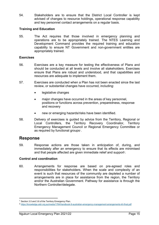54. Stakeholders are to ensure that the District Local Controller is kept advised of changes to resource holdings, operational response capability and key personnel contact arrangements on a regular basis.

#### <span id="page-14-0"></span>**Training and Education**

55. The Act requires that those involved in emergency planning and operations are to be appropriately trained. The NTES Learning and Development Command provides the required training and education capability to ensure NT Government and non-government entities are appropriately trained.

#### <span id="page-14-1"></span>**Exercises**

- 56. Exercises are a key measure for testing the effectiveness of Plans and should be conducted at all levels and involve all stakeholders. Exercises ensure that Plans are robust and understood, and that capabilities and resources are adequate to implement them.
- 57. Exercises are conducted when a Plan has not been enacted since the last review, or substantial changes have occurred, including:
	- legislative changes
	- major changes have occurred in the areas of key personnel, positions or functions across prevention, preparedness, response and recovery
	- new or emerging hazards/risks have been identified.
- 58. Delivery of exercises is guided by advice from the Territory, Regional or Local Controllers, the Territory Recovery Coordinator, Territory Emergency Management Council or Regional Emergency Committee or as required by functional groups[1](#page-14-4).

# <span id="page-14-2"></span>**Response**

 $\overline{a}$ 

59. Response actions are those taken in anticipation of, during, and immediately after an emergency to ensure that its effects are minimised and that people affected are given immediate relief and support $\boldsymbol{\mathsf{r}}$ .

#### <span id="page-14-3"></span>**Control and coordination**

60. Arrangements for response are based on pre-agreed roles and responsibilities for stakeholders. When the scale and complexity of an event is such that resources of the community are depleted a number of arrangements are in place for assistance from the region, the Territory and/or the Australian Government. Pathway for assistance is through the Northern Controller/delegate.

<span id="page-14-4"></span><sup>1</sup> Section 3.5 and 3.6 of the Territory Emergency Plan.

<span id="page-14-5"></span><sup>2</sup> <https://knowledge.aidr.org.au/media/1764/handbook-9-australian-emergency-management-arrangements-kh-final.pdf>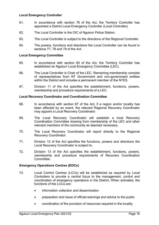#### <span id="page-15-0"></span>**Local Emergency Controller**

- 61. In accordance with section 76 of the Act, the Territory Controller has appointed a District Local Emergency Controller (Local Controller).
- 62. The Local Controller is the OIC of Ngukurr Police Station.
- 63. The Local Controller is subject to the directions of the Regional Controller.
- 64. The powers, functions and directions the Local Controller can be found in sections 77, 78 and 79 of the Act.

#### <span id="page-15-1"></span>**Local Emergency Committee**

- 65. In accordance with section 80 of the Act, the Territory Controller has established an Ngukurr Local Emergency Committee (LEC).
- 66. The Local Controller is Chair of the LEC. Remaining membership consists of representatives from NT Government and non-government entities within the District and includes a permanent member of the NTES.
- 67. Division 11 of the Act specifies the establishment, functions, powers, membership and procedure requirements of a LEC.

#### <span id="page-15-2"></span>**Local Recovery Coordinator and Coordination Committee**

- 68. In accordance with section 87 of the Act, if a region and/or locality has been affected by an event, the relevant Regional Recovery Coordinator may appoint a Local Recovery Coordinator.
- 69. The Local Recovery Coordinator will establish a local Recovery Coordination Committee drawing from membership of the LEC and other relevant members of the community as deemed necessary.
- 70. The Local Recovery Coordinator will report directly to the Regional Recovery Coordinator.
- 71. Division 12 of the Act specifies the functions, powers and directions the Local Recovery Coordinator is subject to.
- 72. Division 13 of the Act specifies the establishment, functions, powers, membership and procedure requirements of Recovery Coordination Committee.

#### <span id="page-15-3"></span>**Emergency Operations Centres (EOCs)**

- 73. Local Control Centres (LCCs) will be established as required by Local Controllers to provide a central focus to the management, control and coordination of emergency operations in the District. When activated, the functions of the LCCs are:
	- information collection and dissemination
	- preparation and issue of official warnings and advice to the public
	- coordination of the provision of resources required in the locality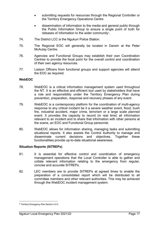- submitting requests for resources through the Regional Controller or the Territory Emergency Operations Centre
- dissemination of information to the media and general public through the Public Information Group to ensure a single point of truth for releases of information to the wider community<sup>[3](#page-16-2)</sup>.
- 74. The District LCC is the Ngukurr Police Station.
- 75. The Regional EOC will generally be located in Darwin at the Peter McAulay Centre.
- 76. Agencies and Functional Groups may establish their own Coordination Centres to provide the focal point for the overall control and coordination of their own agency resources.
- 77. Liaison Officers from functional groups and support agencies will attend the EOC as required.

#### <span id="page-16-0"></span>**WebEOC**

- 78. WebEOC is a critical information management system used throughout the NT. It is an effective and efficient tool used by stakeholders that have a role and responsibility under the Territory Emergency Plan during prevention, preparation, response and recovery phases of any event.
- 79. WebEOC is a contemporary platform for the coordination of multi-agency response to any critical incident be it a severe weather event, flood, bush fire, industrial accident, major crime, terrorism or a large scale planned event. It provides the capacity to record (in real time) all information relevant to an incident and to share that information with other persons at the scene, an EOC and Functional Group personnel.
- 80. WebEOC allows for information sharing, managing tasks and submitting situational reports. It also assists the Control Authority to manage and disseminate current decisions and objectives. Together these functionalities provide up-to-date situational awareness.

#### <span id="page-16-1"></span>**Situation Reports (SITREPs)**

- 81. It is essential for effective control and coordination of emergency management operations that the Local Controller is able to gather and collate relevant information relating to the emergency from regular, concise and accurate SITREPs.
- 82. LEC members are to provide SITREPs at agreed times to enable the preparation of a consolidated report which will be distributed to all committee members and other relevant authorities. This may be achieved through the WebEOC incident management system.

 $\overline{a}$ 

<span id="page-16-2"></span><sup>3</sup> Territory Emergency Plan Section 4.5.3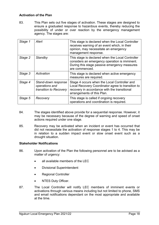#### <span id="page-17-0"></span>**Activation of the Plan**

83. This Plan sets out five stages of activation. These stages are designed to ensure a graduated response to hazardous events, thereby reducing the possibility of under or over reaction by the emergency management agency. The stages are:

| Stage 1 | Alert                                                           | This stage is declared when the Local Controller<br>receives warning of an event which, in their<br>opinion, may necessitate an emergency<br>management response.               |
|---------|-----------------------------------------------------------------|---------------------------------------------------------------------------------------------------------------------------------------------------------------------------------|
| Stage 2 | Standby                                                         | This stage is declared when the Local Controller<br>considers an emergency operation is imminent.<br>During this stage passive emergency measures<br>are commenced.             |
| Stage 3 | Activation                                                      | This stage is declared when active emergency<br>measures are required.                                                                                                          |
| Stage 4 | Stand-down response<br>operations and<br>transition to Recovery | Stage 4 occurs when the Local Controller and<br>Local Recovery Coordinator agree to transition to<br>recovery in accordance with the transitional<br>arrangements of this Plan. |
| Stage 5 | Recovery                                                        | This stage is called if ongoing recovery<br>operations and coordination is required.                                                                                            |

- 84. The stages identified above provide for a sequential response. However, it may be necessary because of the degree of warning and speed of onset actions required under one stage.
- 85. Recovery may be activated when an incident or event has occurred that did not necessitate the activation of response stages 1 to 4. This may be in relation to a sudden impact event or slow onset event such as a drought situation.

#### <span id="page-17-1"></span>**Stakeholder Notifications**

- 86. Upon activation of the Plan the following personnel are to be advised as a matter of urgency:
	- all available members of the LEC
	- Divisional Superintendent
	- Regional Controller
	- **NTES Duty Officer.**
- 87. The Local Controller will notify LEC members of imminent events or activations through various means including but not limited to phone, SMS and email notifications dependant on the most appropriate and available at the time.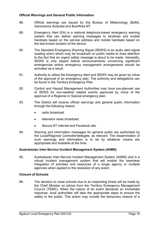#### <span id="page-18-0"></span>**Official Warnings and General Public Information**

- 88. Official warnings are issued by the Bureau of Meteorology (BoM), Geoscience Australia and Bushfires NT.
- 89. Emergency Alert (EA) is a national telephony-based emergency warning system that can deliver warning messages to landlines and mobile handsets based on the service address and mobile handsets based on the last known location of the device.
- 90. The Standard Emergency Warning Signal (SEWS) is an audio alert signal (wailing siren) which may be broadcast on public media to draw attention to the fact that an urgent safety message is about to be made. Generally, SEWS is only played before announcements concerning significant emergencies where emergency management arrangements should be activated as a result.
- 91. Authority to utilise the Emergency Alert and SEWS may be given by virtue of the approval of an emergency plan. The authority and delegations can be found in the Territory Emergency Plan.
- 92. Control and Hazard Management Authorities may have pre-planned use of SEWS for non-weather related events approved by virtue of the approval of a Regional or Special emergency plan.
- 93. The District will receive official warnings and general public information through the following means:
	- radio broadcast
	- television news broadcast
	- Secure NT internet and Facebook site.
- 94. Warning and information messages for general public are authorised by the Local/Regional Controller/delegate, as relevant. The dissemination of such warnings and information is to be by whatever means are appropriate and available at the time.

#### <span id="page-18-1"></span>**Australasian Inter-Service Incident Management System (AIIMS)**

95. Australasian Inter-Service Incident Management System (AIIMS) and is a robust incident management system that will enable the seamless integration of activities and resources of a single agency or multiple agencies when applied to the resolution of any event.

#### <span id="page-18-2"></span>**Closure of Schools**

96. The decision to close schools due to an impending threat will be made by the Chief Minister on advice from the Territory Emergency Management Council (TEMC). When the nature of an event demands an immediate response, local authorities will take the appropriate steps to ensure the safety to the public. This action may include the temporary closure of a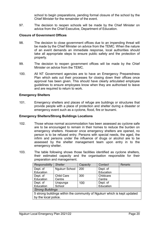school to begin preparations, pending formal closure of the school by the Chief Minister for the remainder of the event.

97. The decision to reopen schools will be made by the Chief Minister on advice from the Chief Executive, Department of Education.

#### <span id="page-19-0"></span>**Closure of Government Offices**

- 98. The decision to close government offices due to an impending threat will be made by the Chief Minister on advice from the TEMC. When the nature of an event demands an immediate response, local authorities should take all appropriate steps to ensure public safety and the protection of property.
- 99. The decision to reopen government offices will be made by the Chief Minister on advice from the TEMC.
- 100. All NT Government agencies are to have an Emergency Preparedness Plan which sets out their processes for closing down their offices once approval has been given. This should have clearly articulated employee guidelines to ensure employees know when they are authorised to leave and are required to return to work.

#### <span id="page-19-1"></span>**Emergency Shelters**

101. Emergency shelters and places of refuge are buildings or structures that provide people with a place of protection and shelter during a disaster or emergency event such as a cyclone, flood, fire or tsunami.

#### <span id="page-19-2"></span>**Emergency Shelters/Strong Buildings Locations**

- 102. Those whose normal accommodation has been assessed as cyclone safe are to be encouraged to remain in their homes to reduce the burden on emergency shelters. However once emergency shelters are opened, no person is to be refused entry. Persons with special needs, the aged, the infirm and persons under the influence of drugs or alcohol are to be assessed by the shelter management team upon entry in to the emergency shelter.
- 103. The table following shows those facilities identified as cyclone shelters, their estimated capacity and the organisation responsible for their preparation and management.

| <b>Responsibility</b>                                                    | <b>Shelter</b>    | Capacity | Contact   | <b>Remarks</b> |  |
|--------------------------------------------------------------------------|-------------------|----------|-----------|----------------|--|
| Dept. of                                                                 | Ngukurr School    | 200      | Dept. of  |                |  |
| Education                                                                |                   |          | Education |                |  |
| Dept. of                                                                 | <b>Child Care</b> | 300      | Childcare |                |  |
| Education                                                                | Centre            |          | Centre    |                |  |
| Dept. of                                                                 | Urapunga          | 100      | Dept. of  |                |  |
| Education                                                                | School            |          | Education |                |  |
| <b>Strong Buildings</b>                                                  |                   |          |           |                |  |
| 5 strong buildings within the community of Ngukurr which is kept updated |                   |          |           |                |  |
| by the local police.                                                     |                   |          |           |                |  |
|                                                                          |                   |          |           |                |  |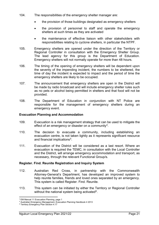- 104. The responsibilities of the emergency shelter manager are:
	- the provision of those buildings designated as emergency shelters
	- the provision of personnel to staff and operate the emergency shelters at such times as they are activated
	- the maintenance of effective liaison with other stakeholders with responsibilities relating to cyclone shelters, in particular the NTPF.
- 105. Emergency shelters are opened under the direction of the Territory or Regional Controller in consultation with the Emergency Shelter Group. The lead agency for this group is the Department of Education. Emergency shelters will not normally operate for more than 48 hours.
- 106. The timing of the opening of emergency shelters will be dependent upon the severity of the impending incident, the numbers to be sheltered, the time of day the incident is expected to impact and the period of time the emergency shelters are likely to be occupied.
- 107. The announcement that emergency shelters are open in the District will be made by radio broadcast and will include emergency shelter rules such as no pets or alcohol being permitted in shelters and that food will not be provided.
- 108. The Department of Education in conjunction with NT Police are responsible for the management of emergency shelters during an emergency event.

#### <span id="page-20-0"></span>**Evacuation Planning and Accommodation**

- 109. Evacuation is a risk management strategy that can be used to mitigate the effect of an emergency or disaster on a community<sup>[4](#page-20-2)</sup>.
- 110. The decision to evacuate a community, including establishing an evacuation centre, is not taken lightly as it represents significant resource and financial implications<sup>[5](#page-20-3)</sup>.
- 111. Evacuation of the District will be considered as a last resort. Where an evacuation is required the TEMC, in consultation with the Local Controller and the District, will arrange emergency accommodation and transport, as necessary, through the relevant Functional Group/s.

#### <span id="page-20-1"></span>**Register. Find. Reunite Registration and Inquiry System**

- 112. Australian Red Cross, in partnership with the Commonwealth Attorney-General's Department, has developed an improved system to help reunite families, friends and loved ones separated by an emergency. This system is called Register. Find. Reunite.
- 113. This system can be initiated by either the Territory or Regional Controller without the national system being activated $6$ .

 $\overline{a}$ 

<sup>4</sup> EM Manual 11 Evacuation Planning, page 1

<span id="page-20-2"></span><sup>5</sup> Australian Emergency Management, Evacuation Planning Handbook 4 2013

<span id="page-20-4"></span><span id="page-20-3"></span><sup>6</sup> Territory Emergency Plan Section 4.17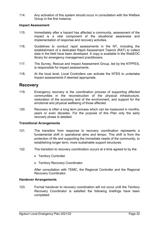114. Any activation of this system should occur in consultation with the Welfare Group in the first instance.

#### <span id="page-21-0"></span>**Impact Assessment**

- 115. Immediately after a hazard has affected a community, assessment of the impact is a vital component of the situational awareness and implementation of response and recovery activities.
- 116. Guidelines to conduct rapid assessments in the NT, including the establishment of a dedicated Rapid Assessment Team/s (RAT) to collect data in the field have been developed. A copy is available in the WebEOC library for emergency management practitioners.
- 117. The Survey, Rescue and Impact Assessment Group, led by the NTPFES, is responsible for impact assessments.
- 118. At the local level, Local Controllers can activate the NTES to undertake impact assessments if deemed appropriate.

# <span id="page-21-1"></span>**Recovery**

- 119. Emergency recovery is the coordination process of supporting affected communities in the reconstruction of the physical infrastructure, restoration of the economy and of the environment, and support for the emotional and physical wellbeing of those affected.
- 120. Recovery is often a long term process which can be measured in months, years or even decades. For the purpose of this Plan only the early recovery phase is detailed.

#### <span id="page-21-2"></span>**Transitional Arrangements**

- 121. The transition from response to recovery coordination represents a fundamental shift in operational aims and tempo. This shift is from the protection of life and supporting the immediate needs of the community, to establishing longer term, more sustainable support structures.
- 122. The transition to recovery coordination occurs at a time agreed to by the:
	- Territory Controller
	- Territory Recovery Coordinator.

After consultation with TEMC, the Regional Controller and the Regional Recovery Coordinator.

#### <span id="page-21-3"></span>**Handover Arrangements**

123. Formal handover to recovery coordination will not occur until the Territory Recovery Coordinator is satisfied the following briefings have been completed: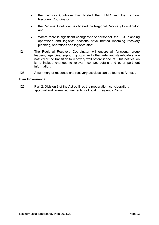- the Territory Controller has briefed the TEMC and the Territory Recovery Coordinator
- the Regional Controller has briefed the Regional Recovery Coordinator, and
- Where there is significant changeover of personnel, the EOC planning operations and logistics sections have briefed incoming recovery planning, operations and logistics staff.
- 124. The Regional Recovery Coordinator will ensure all functional group leaders, agencies, support groups and other relevant stakeholders are notified of the transition to recovery well before it occurs. This notification is to include changes to relevant contact details and other pertinent information.
- 125. A summary of response and recovery activities can be found at Annex L.

#### <span id="page-22-0"></span>**Plan Governance**

126. Part 2, Division 3 of the Act outlines the preparation, consideration, approval and review requirements for Local Emergency Plans.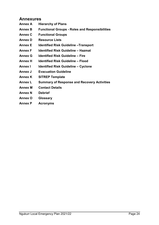# <span id="page-23-0"></span>**Annexures**

- **Annex A Hierarchy of Plans**
- **Annex B Functional Groups - Roles and Responsibilities**
- **Annex C Functional Groups**
- **Annex D Resource Lists**
- **Annex E Identified Risk Guideline –Transport**
- **Annex F Identified Risk Guideline – Hazmat**
- **Annex G Identified Risk Guideline – Fire**
- **Annex H Identified Risk Guideline – Flood**
- **Annex I Identified Risk Guideline – Cyclone**
- **Annex J Evacuation Guideline**
- **Annex K SITREP Template**
- **Annex L Summary of Response and Recovery Activities**
- **Annex M Contact Details**
- **Annex N Debrief**
- **Annex O Glossary**
- **Annex P Acronyms**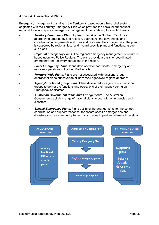#### <span id="page-24-0"></span>**Annex A: Hierarchy of Plans**

Emergency management planning in the Territory is based upon a hierarchal system. It originates with the Territory Emergency Plan which provides the basis for subsequent regional, local and specific emergency management plans relating to specific threats.

- **Territory Emergency Plan.** A plan to describe the Northern Territory's approach to emergency and recovery operations, the governance and coordination arrangements and roles and responsibilities of agencies. The plan is supported by regional, local and hazard specific plans and functional group sub plans.
- *Regional Emergency Plans*. The regional emergency management structure is based upon two Police Regions. The plans provide a basis for coordinated emergency and recovery operations in the region.
- *Local Emergency Plans***.** Plans developed for coordinated emergency and recovery operations in the identified locality.
- **Territory Wide Plans.** Plans are not associated with functional group operational plans but cover an all hazard/all agency/all regions approach.
- **Agency/functional group plans.** Plans developed for agencies or functional groups to deliver the functions and operations of their agency during an Emergency or disaster.
- *Australian Government Plans and Arrangements***.** The Australian Government publish a range of national plans to deal with emergencies and disasters.
- *Special Emergency Plans***.** Plans outlining the arrangements for the control, coordination and support response, for hazard specific emergencies and disasters such as emergency terrestrial and aquatic pest and disease incursions.

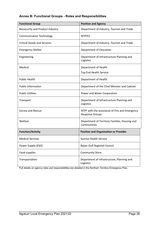### <span id="page-25-0"></span>**Annex B: Functional Groups - Roles and Responsibilities**

| <b>Functional Group</b>                 | <b>Position and Agency</b>                                               |  |  |  |  |  |
|-----------------------------------------|--------------------------------------------------------------------------|--|--|--|--|--|
| <b>Biosecurity and Product Industry</b> | Department of Industry, Tourism and Trade                                |  |  |  |  |  |
| <b>Communication Technology</b>         | <b>NTPFES</b>                                                            |  |  |  |  |  |
| <b>Critical Goods and Services</b>      | Department of Industry, Tourism and Trade                                |  |  |  |  |  |
| <b>Emergency Shelter</b>                | Department of Education                                                  |  |  |  |  |  |
| Engineering                             | Department of Infrastructure Planning and<br>Logistics                   |  |  |  |  |  |
| Medical                                 | Department of Health                                                     |  |  |  |  |  |
|                                         | <b>Top End Health Service</b>                                            |  |  |  |  |  |
| <b>Public Health</b>                    | Department of Health                                                     |  |  |  |  |  |
| <b>Public Information</b>               | Department of the Chief Minister and Cabinet                             |  |  |  |  |  |
| <b>Public Utilities</b>                 | Power and Water Corporation                                              |  |  |  |  |  |
| Transport                               | Department of Infrastructure Planning and<br>Logistics                   |  |  |  |  |  |
| Survey and Rescue                       | NTPF with the assistance of Fire and Emergency<br><b>Response Groups</b> |  |  |  |  |  |
| Welfare                                 | Department of Territory Families, Housing and<br>Communities             |  |  |  |  |  |
| <b>Function/Activity</b>                | <b>Position and Organisation or Provider</b>                             |  |  |  |  |  |
| <b>Medical Services</b>                 | <b>Sunrise Health Service</b>                                            |  |  |  |  |  |
| Power Supply (ESO)                      | Roper Gulf Regional Council                                              |  |  |  |  |  |
| Food supplier                           | <b>Community Store</b>                                                   |  |  |  |  |  |
| Transportation                          | Department of Infrastructure, Planning and<br>Logistics                  |  |  |  |  |  |

Full details on agency roles and responsibilities are detailed in the Northern Territory Emergency Plan.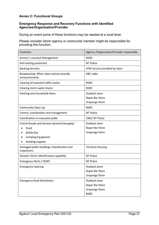#### <span id="page-26-0"></span>**Annex C: Functional Groups**

#### **Emergency Response and Recovery Functions with Identified Agencies/Organisation/Provider**

During an event some of these functions may be needed at a local level.

Please consider which agency or community member might be responsible for providing this function:

| <b>Functions</b>                                                                                                                    | Agency / Organisation/Provider responsible                        |  |  |  |  |
|-------------------------------------------------------------------------------------------------------------------------------------|-------------------------------------------------------------------|--|--|--|--|
| Animal / Livestock Management                                                                                                       | <b>RGRC</b>                                                       |  |  |  |  |
| Anti-looting protection                                                                                                             | <b>NT Police</b>                                                  |  |  |  |  |
| <b>Banking Services</b>                                                                                                             | ATM service provided by store                                     |  |  |  |  |
| Broadcasting: What radio stations provide<br>announcements                                                                          | <b>ABC</b> radio                                                  |  |  |  |  |
| Clearing of essential traffic routes                                                                                                | <b>RGRC</b>                                                       |  |  |  |  |
| Clearing storm water drains                                                                                                         | <b>RGRC</b>                                                       |  |  |  |  |
| Clothing and Household Items                                                                                                        | Outback store<br>Roper Bar Store<br>Urapunga Store                |  |  |  |  |
| <b>Community Clean Up</b>                                                                                                           | <b>RGRC</b>                                                       |  |  |  |  |
| Control, coordination and management                                                                                                | <b>NT Police</b>                                                  |  |  |  |  |
| Coordination to evacuate public                                                                                                     | CMC/NT Police                                                     |  |  |  |  |
| Critical Goods and Services (protect/resupply)<br>Food<br><b>Bottle Gas</b><br><b>Camping Equipment</b><br><b>Building supplies</b> | Outback store<br>Roper Bar Store<br>Urapunga Store                |  |  |  |  |
| Damaged public buildings: Coordination and<br>inspections                                                                           | <b>Territory Housing</b>                                          |  |  |  |  |
| Disaster Victim Identification capability                                                                                           | <b>NT Police</b>                                                  |  |  |  |  |
| <b>Emergency Alerts / SEWS</b>                                                                                                      | <b>NT Police</b>                                                  |  |  |  |  |
| <b>Emergency Catering</b>                                                                                                           | Outback store<br>Roper Bar Store<br>Urapunga Store                |  |  |  |  |
| <b>Emergency food distribution</b>                                                                                                  | Outback store<br>Roper Bar Store<br>Urapunga Store<br><b>RGRC</b> |  |  |  |  |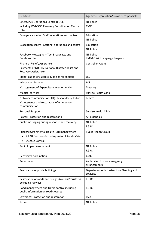| <b>Functions</b>                                                                                              | Agency / Organisation/Provider responsible             |
|---------------------------------------------------------------------------------------------------------------|--------------------------------------------------------|
| Emergency Operations Centre (EOC),                                                                            | <b>NT Police</b>                                       |
| including WebEOC, Recovery Coordination Centre<br>(RCC)                                                       | CMC                                                    |
| Emergency shelter. Staff, operations and control                                                              | Education                                              |
|                                                                                                               | <b>NT Police</b>                                       |
| Evacuation centre - Staffing, operations and control                                                          | Education                                              |
|                                                                                                               | <b>NT Police</b>                                       |
| Facebook Messaging - Text Broadcasts and<br><b>Facebook Live</b>                                              | <b>NT Police</b><br>YMDAC Kriol Language Program       |
| Financial Relief / Assistance                                                                                 | Centrelink Agent                                       |
| Payments of NDRRA (National Disaster Relief and<br>Recovery Assistance)                                       |                                                        |
| Identification of suitable buildings for shelters                                                             | <b>LEC</b>                                             |
| <b>Interpreter Services</b>                                                                                   | <b>AIS</b>                                             |
| Management of Expenditure in emergencies                                                                      | Treasury                                               |
| <b>Medical services</b>                                                                                       | <b>Sunrise Health Clinic</b>                           |
| Network communications (IT): Responders / Public<br>Maintenance and restoration of emergency<br>communication | Telstra                                                |
| Personal Support                                                                                              | <b>Sunrise Health Clinic</b>                           |
| Power: Protection and restoration :                                                                           | <b>AA Essentials</b>                                   |
| Public messaging during response and recovery.                                                                | <b>NT Police</b>                                       |
|                                                                                                               | <b>RGRC</b>                                            |
| Public/Environmental Health (EH) management                                                                   | <b>Public Health Group</b>                             |
| All EH functions including water & food safety                                                                |                                                        |
| <b>Disease Control</b>                                                                                        |                                                        |
| Rapid Impact Assessment                                                                                       | <b>NT Police</b><br><b>RGRC</b>                        |
| <b>Recovery Coordination</b>                                                                                  | <b>CMC</b>                                             |
|                                                                                                               |                                                        |
| Repatriation                                                                                                  | As detailed in local emergency<br>arrangements         |
| Restoration of public buildings                                                                               | Department of Infrastructure Planning and<br>Logistics |
| Restoration of roads and bridges (council/territory)<br>excluding railways                                    | <b>RGRC</b>                                            |
| Road management and traffic control including<br>public Information on road closures                          | <b>RGRC</b>                                            |
| Sewerage: Protection and restoration                                                                          | <b>ESO</b>                                             |
| Survey                                                                                                        | NT Police                                              |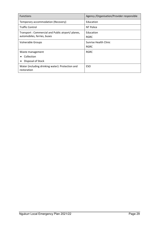| <b>Functions</b>                                                                 | Agency / Organisation/Provider responsible |
|----------------------------------------------------------------------------------|--------------------------------------------|
| Temporary accommodation (Recovery)                                               | Education                                  |
| <b>Traffic Control</b>                                                           | NT Police                                  |
| Transport: Commercial and Public airport/ planes,<br>automobiles, ferries, buses | Education<br><b>RGRC</b>                   |
| Vulnerable Groups                                                                | Sunrise Health Clinic<br><b>RGRC</b>       |
| Waste management<br>Collection<br>Disposal of Stock                              | <b>RGRC</b>                                |
| Water (including drinking water): Protection and<br>restoration                  | <b>ESO</b>                                 |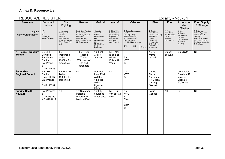#### **Annex D: Resource List**

# RESOURCE REGISTER Locality - Ngukurr

<span id="page-29-0"></span>

|                                              |                                                                                    |                                                                                                                        |                                                                                                                                                |                                                                                                                                |                                                                                                        |                                                                                                |                                                       |         |                                                                                                                                              |                                                                                 | ັ                                                                                         |                                                                                                                                                |
|----------------------------------------------|------------------------------------------------------------------------------------|------------------------------------------------------------------------------------------------------------------------|------------------------------------------------------------------------------------------------------------------------------------------------|--------------------------------------------------------------------------------------------------------------------------------|--------------------------------------------------------------------------------------------------------|------------------------------------------------------------------------------------------------|-------------------------------------------------------|---------|----------------------------------------------------------------------------------------------------------------------------------------------|---------------------------------------------------------------------------------|-------------------------------------------------------------------------------------------|------------------------------------------------------------------------------------------------------------------------------------------------|
| Resource                                     | Communic<br>ations                                                                 | Fire<br>Fighting                                                                                                       | Rescue                                                                                                                                         | Medical                                                                                                                        | Aircraft                                                                                               |                                                                                                | Vehicles                                              |         | Plant                                                                                                                                        | Fuel                                                                            | Accommod<br>ation<br>/Shelter                                                             | <b>Food Supply</b><br>& Storage                                                                                                                |
| Legend<br>Agency/Organisation                | HF<br>UHF<br><b>VHF</b><br>Marine (M)<br>Satellite Ph (SP)                         | A=Appliance<br>D=Dropon Unit<br>T=Trailer<br>F=Foam<br>E=Extinguisher<br>(4.5kg and above)<br>GFU - Grass Fire<br>Unit | <b>RAR=Road Accident</b><br>Rescue Team<br><b>HE=Heavy Rescue</b><br>Equipment<br>WS=Workshop<br><b>PG=Portable Genset</b><br>FL=Floodlighting | =Hospital<br>A=Ambulance<br>C=Clinic<br>F/A=First Aid<br>Kits<br>SF=Stretcher<br>(fId)<br>SB=Stretcher-<br>(bsk)<br>B=Blankets | F=Fixed Wing<br>H=Helicopter<br>(oo)=Seating<br>Capacity<br>(s)=Stretcher<br>(w)=Winch<br>(kg)=Payload | U=Utility<br>B=Bus (seating)<br>T=Truck (capacity)<br>WT=Water tanker<br>FT=Fuel tanker<br>2WD | S=Sedan/Stationwagon<br>LW=Liquid waste tanker<br>4WD | AII     | T=Tractor<br>B=Bulldozer<br>C=Crane (mobile)<br>F=Frontend<br>Loader<br>F/L=Forklift<br>L=Lowloader<br>B/H=Back hoe<br>G=Grader<br>BC=Bobcat | A=Avgas<br>D=Distillate<br>J=Jet aviation<br>$L = LPG$<br>S=Super<br>U=Unleaded | B=Beds<br>R=Rooms<br>C=Caravans<br>$T = Tents$<br>Tp=Tarpaulins<br>Ps=Plastic<br>Sheeting | R=Retail store<br>B=Bulk dry goods<br>K=Commercial<br>Catering<br>P=Portable cooking<br>F=Freezer (fixed)<br>Fm=Freezer (mobile)<br>C=Coolroom |
| NT Police - Ngukurr<br><b>Station</b>        | $2 \times UHF$<br>Vehicles<br>2 x Marine<br>Radios<br>Sat Phone<br>#<br>0147142643 | 1x<br>firefighting<br>trailer<br>1000Lts for<br>grass fires                                                            | 1 x NTES<br>Rescue<br>Trailer<br>With jaws of<br>life and<br>spreaders                                                                         | 1 x Frist<br>Aid Kit<br>Station                                                                                                | $Nil - May$<br>is able to<br>utilise<br>Police Air<br>Wing                                             | 3x<br>4WD<br>S                                                                                 |                                                       | Terrain | $1 \times 6.0$<br>metre<br>vessel                                                                                                            | Diesel<br>5000Lts                                                               | 2 x VOQs                                                                                  | Nil                                                                                                                                            |
| <b>Roper Gulf</b><br><b>Regional Council</b> | $2 \times VHF$<br>Radios<br>(Hand Held)<br>Sat Phones<br>#<br>0147153592           | 1 x Bush Fire<br>Trailer<br>1000Lts for<br>grass fires.                                                                | Nil                                                                                                                                            | Vehicles<br>have Frist<br>Aid Kits<br>1 x Frist<br>Aid Kit<br>Ngukurr<br>Office                                                | Nil                                                                                                    | 12x<br>4WD<br>S                                                                                |                                                       |         | $1 \times$ Tip<br><b>Truck</b><br>1 x Loader<br>1 x Bobcat<br>1 x large<br>Genset                                                            |                                                                                 | Contractors<br>Quarters 19<br>x rooms<br><b>Distillate</b><br>50,0ooLts                   | Nil                                                                                                                                            |
| Sunrise Health,<br><b>Ngukurr</b>            | Sat Phones:<br>#<br>0147165750<br>#014166415                                       | $\overline{N}$                                                                                                         | 1 x Stretcher<br>Portable<br>Emergency<br><b>Medical Pack</b>                                                                                  | $1x$ fully<br>equipped<br>Ambulance                                                                                            | $Nil - But$<br>can call Air<br>Med                                                                     | 3x<br>4WD<br>S<br>Troo<br>р<br>Carri<br>er                                                     |                                                       |         | Large<br>Genset                                                                                                                              | Nil                                                                             | Nil                                                                                       | Nil                                                                                                                                            |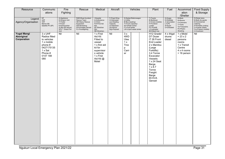| Resource                                        | Communic<br>ations                                                                                                       | Fire<br>Fighting                                                                                                       | Rescue                                                                                                                           | Medical                                                                                                                               | Aircraft                                                                                                  | Vehicles                                                                                                                                  | Plant                                                                                                                                                                                                                       | Fuel                                                                            | Accommod<br>ation<br>/Shelter                                                                             | Food Supply<br>& Storage                                                                                                                       |
|-------------------------------------------------|--------------------------------------------------------------------------------------------------------------------------|------------------------------------------------------------------------------------------------------------------------|----------------------------------------------------------------------------------------------------------------------------------|---------------------------------------------------------------------------------------------------------------------------------------|-----------------------------------------------------------------------------------------------------------|-------------------------------------------------------------------------------------------------------------------------------------------|-----------------------------------------------------------------------------------------------------------------------------------------------------------------------------------------------------------------------------|---------------------------------------------------------------------------------|-----------------------------------------------------------------------------------------------------------|------------------------------------------------------------------------------------------------------------------------------------------------|
| Legend<br>Agency/Organisation                   | $rac{H}{UHF}$<br><b>VHF</b><br>Marine (M)<br>Satellite Ph (SP)                                                           | A=Appliance<br>D=Dropon Unit<br>T=Trailer<br>F=Foam<br>E=Extinguisher<br>(4.5kg and above)<br>GFU - Grass Fire<br>Unit | <b>RAR=Road Accident</b><br>Rescue Team<br>HE=Heavy Rescue<br>Equipment<br>WS=Workshop<br>PG=Portable Genset<br>FL=Floodlighting | =Hospital<br>A=Ambulance<br>C=Clinic<br>F/A=First Aid<br>Kits<br>SF=Stretcher<br>(fld)<br>SB=Stretcher-                               | F=Fixed Wing<br>H=Helicopter<br>(oo)=Seating<br>Capacity<br>(s)=Stretcher<br>$(w)$ =Winch<br>(kg)=Payload | S=Sedan/Stationwagon<br>U=Utility<br>B=Bus (seating)<br>T=Truck (capacity)<br>WT=Water tanker<br>FT=Fuel tanker<br>LW=Liquid waste tanker | T=Tractor<br>B=Bulldozer<br>C=Crane (mobile)<br>F=Frontend<br>Loader<br>F/L=Forklift<br>L=Lowloader<br>B/H=Back hoe                                                                                                         | A=Avgas<br>D=Distillate<br>J=Jet aviation<br>$L = LPG$<br>S=Super<br>U=Unleaded | B=Beds<br>R=Rooms<br>C=Caravans<br>$T = Tents$<br>Tp=Tarpaulins<br>Ps=Plastic<br>Sheeting                 | R=Retail store<br>B=Bulk dry goods<br>K=Commercial<br>Catering<br>P=Portable cooking<br>F=Freezer (fixed)<br>Fm=Freezer (mobile)<br>C=Coolroom |
| <b>Yugal Mangi</b><br>Aboriginal<br>Corporation | $3x$ UHF<br>Radios fitted<br>to vehicles<br>1 x mobile<br>phone #<br>0427175135<br>1 x Sat<br>Phone #<br>0147 188<br>080 | Nil                                                                                                                    | Nil                                                                                                                              | 1 x First<br>Aid Kit<br>Fitted to<br>vessel<br>1 x first aid<br>kit for<br>supervisor<br>s vehicle<br>1 x First<br>Aid Kit @<br>Motel | Nil                                                                                                       | 3x<br>4WD<br>Utes<br>1x<br>Troo<br>p<br>Carri<br>er                                                                                       | H12 Grader<br>D7 Dozer<br>IT 28 Front<br>End Loader<br>2 x Manitou<br>(Large<br>Forklifts)<br>3.4 Tonne<br>Excavator<br>Vessels:<br>1 x 24 Seat<br>Barge<br>$1 \times 8.7$<br>Tonne<br>Freight<br>Barge<br>65 KVA<br>Genset | 4 x 44gal<br>drums<br>diesel                                                    | 1 x Motel<br>$= 23 \times 2$<br>persons<br>rooms<br>1 x Transit<br>Centre<br>4 x 4 rooms<br>$= 16$ person | Nil                                                                                                                                            |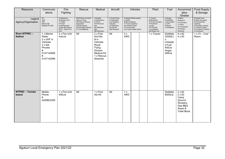| Resource                             | Communic<br>ations                                                                                         | Fire<br>Fighting<br>A=Appliance                                                                           | Rescue<br>RAR=Road Accident                                                                                 | Medical<br>=Hospital                                                                                                     | Aircraft<br>F=Fixed Wing                                                                  |                                                                                         | Vehicles<br>S=Sedan/Stationwagon | Plant<br>T=Tractor                                                                                     | Fuel<br>A=Avgas                                                                     | Accommod<br>ation<br>/Shelter<br>B=Beds                                                             | Food Supply<br>& Storage<br>R=Retail store                                                                                   |
|--------------------------------------|------------------------------------------------------------------------------------------------------------|-----------------------------------------------------------------------------------------------------------|-------------------------------------------------------------------------------------------------------------|--------------------------------------------------------------------------------------------------------------------------|-------------------------------------------------------------------------------------------|-----------------------------------------------------------------------------------------|----------------------------------|--------------------------------------------------------------------------------------------------------|-------------------------------------------------------------------------------------|-----------------------------------------------------------------------------------------------------|------------------------------------------------------------------------------------------------------------------------------|
| Legend<br>Agency/Organisation        | $rac{H}{UHF}$<br><b>VHF</b><br>Marine (M)<br>Satellite Ph (SP)                                             | D=Dropon Unit<br>T=Trailer<br>F=Foam<br>E=Extinguisher<br>$(4.5kg$ and above)<br>GFU - Grass Fire<br>Unit | Rescue Team<br><b>HE=Heavy Rescue</b><br>Equipment<br>WS=Workshop<br>PG=Portable Genset<br>FL=Floodlighting | A=Ambulance<br>C=Clinic<br>F/A=First Aid<br>Kits<br>SF=Stretcher<br>(fld)<br>SB=Stretcher-                               | H=Helicopter<br>(oo)=Seating<br>Capacity<br>(s)=Stretcher<br>$(w)$ =Winch<br>(kg)=Payload | U=Utility<br>B=Bus (seating)<br>T=Truck (capacity)<br>WT=Water tanker<br>FT=Fuel tanker | LW=Liquid waste tanker           | B=Bulldozer<br>C=Crane (mobile)<br>F=Frontend<br>Loader<br>F/L=Forklift<br>L=Lowloader<br>B/H=Back hoe | D=Distillate<br>J=Jet aviation<br>$L = LPG$<br>S=Super<br>U=Unleaded                | R=Rooms<br>C=Caravans<br>T=Tents<br>Tp=Tarpaulins<br>Ps=Plastic<br>Sheeting                         | B=Bulk dry goods<br>K=Commercial<br>Catering<br>P=Portable cooking<br>F=Freezer (fixed)<br>Fm=Freezer (mobile)<br>C=Coolroom |
| <b>River NTPWC-</b><br><b>Nathan</b> | 1 x Marine<br>Radio<br>2 x UHF in<br>Vehicles<br>2 x Sat<br>Phones<br>#.<br>0147142859<br>#.<br>0147142596 | 2 x Fire Unit<br>4ooLts                                                                                   | Nil                                                                                                         | 2 x First<br>Aid Kits<br>& in<br>Vehicles<br>Royal<br>Flying<br>Doctors<br><b>Medical Kit</b><br>1 x Rescue<br>Stretcher | Nil                                                                                       | 2x<br>4WD                                                                               |                                  | 1 x Tractor                                                                                            | <b>Distillate</b><br>32000Lt<br>s<br>Unleade<br>d Fuel<br>400Lts<br>Avgas<br>400Lts | $8 \times 62$<br>$4 \times 63$                                                                      | $1 \times 74 - Cool$<br>Room                                                                                                 |
| NTPWC - Tomato<br><b>Island</b>      | Mobile<br>Phone<br>#<br>0428823359                                                                         | $\overline{1}$ x Fire Unit<br>400Lts                                                                      | Nil                                                                                                         | 1 x First<br>Aid Kit                                                                                                     | Nil                                                                                       | 1 x<br>4WD                                                                              |                                  |                                                                                                        | <b>Distillate</b><br>8000Lts                                                        | $2 \times 62$<br>$2 \times 63$<br>Camp<br>Ground<br>Showers,<br>Gas BBQ<br>Areas &<br>Toilet Block. |                                                                                                                              |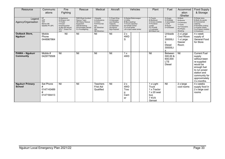| Resource                                  | Communic<br>ations                                                | Fire<br>Fighting                                                                                                       | Rescue                                                                                                                                         | Medical                                                                                                        | Aircraft                                                                                                     | Vehicles                                                                                                                                  | Plant                                                                                                               | Fuel                                                                            | Accommod<br>ation<br>/Shelter                                                             | <b>Food Supply</b><br>& Storage                                                                                                                                         |
|-------------------------------------------|-------------------------------------------------------------------|------------------------------------------------------------------------------------------------------------------------|------------------------------------------------------------------------------------------------------------------------------------------------|----------------------------------------------------------------------------------------------------------------|--------------------------------------------------------------------------------------------------------------|-------------------------------------------------------------------------------------------------------------------------------------------|---------------------------------------------------------------------------------------------------------------------|---------------------------------------------------------------------------------|-------------------------------------------------------------------------------------------|-------------------------------------------------------------------------------------------------------------------------------------------------------------------------|
| Legend<br>Agency/Organisation             | HF<br><b>UHF</b><br><b>VHF</b><br>Marine (M)<br>Satellite Ph (SP) | A=Appliance<br>D=Dropon Unit<br>T=Trailer<br>F=Foam<br>E=Extinguisher<br>(4.5kg and above)<br>GFU - Grass Fire<br>Unit | <b>RAR=Road Accident</b><br>Rescue Team<br><b>HE=Heavy Rescue</b><br>Equipment<br>WS=Workshop<br><b>PG=Portable Genset</b><br>FL=Floodlighting | =Hospital<br>A=Ambulance<br>C=Clinic<br>F/A=First Aid<br><b>Kits</b><br>SF=Stretcher<br>(fld)<br>SB=Stretcher- | F=Fixed Wing<br>H=Helicopter<br>(oo)=Seating<br>Capacity<br>$(s)$ =Stretcher<br>$(w)$ =Winch<br>(kg)=Payload | S=Sedan/Stationwagon<br>U=Utility<br>B=Bus (seating)<br>T=Truck (capacity)<br>WT=Water tanker<br>FT=Fuel tanker<br>LW=Liquid waste tanker | T=Tractor<br>B=Bulldozer<br>C=Crane (mobile)<br>F=Frontend<br>Loader<br>F/L=Forklift<br>L=Lowloader<br>B/H=Back hoe | A=Avgas<br>D=Distillate<br>J=Jet aviation<br>$L = LPG$<br>S=Super<br>U=Unleaded | B=Beds<br>R=Rooms<br>C=Caravans<br>$T = Tents$<br>Tp=Tarpaulins<br>Ps=Plastic<br>Sheeting | R=Retail store<br>B=Bulk dry goods<br>K=Commercial<br>Catering<br>P=Portable cooking<br>F=Freezer (fixed)<br>Fm=Freezer (mobile)<br>C=Coolroom                          |
| <b>Outback Store,</b><br><b>Ngukurr</b>   | Mobile<br>Phone<br>0448967864                                     | Nil                                                                                                                    | Nil                                                                                                                                            | Nil                                                                                                            | $\overline{N}$                                                                                               | 2x<br>4WD<br>S                                                                                                                            |                                                                                                                     | Unleade<br>d<br>30000Lt<br>s<br><b>Diesel</b><br>30000Lt<br>s                   | 2 x Large<br>Cool Room<br>1 x Large<br>freezer<br>Room                                    | 4 x week<br>supply of<br><b>General Food</b><br>for Store                                                                                                               |
| <b>PAWA - Ngukurr</b><br><b>Community</b> | Mobile #<br>0429779508                                            | Nil                                                                                                                    | Nil                                                                                                                                            | Nil                                                                                                            | Nil                                                                                                          | 1 x<br>4WD                                                                                                                                | Nil                                                                                                                 | Between<br>500,00 &<br>600,000<br><b>LTS</b><br><b>Diesel</b>                   | Nil                                                                                       | <b>Current Fuel</b><br>supply<br>without been<br>re-supplied<br>would be<br>enough fuel<br>to run power<br>station and<br>community for<br>approximately<br>3 x months. |
| <b>Ngukurr Primary</b><br><b>School</b>   | Sat Phone<br>#<br>0147143489<br>#<br>0147184413                   | Nil                                                                                                                    | Nil                                                                                                                                            | <b>Teachers</b><br><b>Frist Aid</b><br>Qualified                                                               | Nil                                                                                                          | 2x<br>4WD<br>Troo<br>р<br>Carri<br>er                                                                                                     | 1 x Light<br>Truck<br>1 x Tractor<br>$1 \times 20$ seat<br>bus<br>7 KVA<br>Genset                                   | $\overline{N}$                                                                  | $2 \times \text{large}$<br>cool rooms                                                     | 4 x weeks<br>supply food in<br>2 x large cool<br>rooms                                                                                                                  |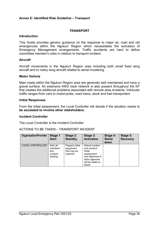#### <span id="page-33-0"></span>**Annex E: Identified Risk Guideline – Transport**

#### **TRANSPORT**

#### **Introduction**

This Guide provides generic guidance on the response to major air, road and rail emergencies within the Ngukurr Region which necessitates the activation of Emergency Management arrangements. Traffic accidents are hard to define committee member's roles in relation to transport incident.

#### **Aircraft**

Aircraft movements in the Ngukurr Region area including both small fixed wing aircraft and to rotary wing aircraft related to aerial mustering.

#### **Motor Vehicle**

Main roads within the Ngukurr Region area are generally well maintained and have a gravel surface. An extensive 4WD track network is also present throughout the NT that creates the additional problems associated with remote area incidents. Vehicular traffic ranges from cars to motorcycles, road trains, stock and fuel transporters

#### **Initial Responses**

From the initial assessment, the Local Controller will decide if the situation needs to **be escalated to involve other stakeholders.** 

#### **Incident Controller**

The Local Controller is the Incident Controller.

#### ACTIONS TO BE TAKEN – TRANSPORT INCIDENT

| <b>Organisation/Provider</b> | Stage 1<br><b>Alert</b>                            | Stage 2:<br><b>Standby</b>                              | Stage 3:<br><b>Activation</b>                                                                                                | Stage 4:<br><b>Stand</b><br>down | Stage 5:<br><b>Recovery</b> |
|------------------------------|----------------------------------------------------|---------------------------------------------------------|------------------------------------------------------------------------------------------------------------------------------|----------------------------------|-----------------------------|
| <b>LOCAL CONTROLLER</b>      | Alert all<br>members<br>and<br>conduct<br>briefing | Prepare initial<br>equipment<br>that may be<br>required | Attend incident<br>and conduct<br>initial<br>assessment<br>and determine if<br>other agencies<br>will be called to<br>assist |                                  |                             |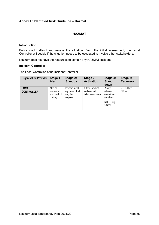#### <span id="page-34-0"></span>**Annex F: Identified Risk Guideline – Hazmat**

#### **HAZMAT**

#### **Introduction**

Police would attend and assess the situation. From the initial assessment, the Local Controller will decide if the situation needs to be escalated to involve other stakeholders.

Ngukurr does not have the resources to contain any HAZMAT Incident.

#### **Incident Controller**

The Local Controller is the Incident Controller.

| <b>Organisation/Provider</b>      | Stage 1<br><b>Alert</b>                         | Stage 2:<br><b>Standby</b>                              | Stage 3:<br><b>Activation</b>                        | Stage 4:<br><b>Stand</b><br>down                                            | Stage 5:<br><b>Recovery</b> |
|-----------------------------------|-------------------------------------------------|---------------------------------------------------------|------------------------------------------------------|-----------------------------------------------------------------------------|-----------------------------|
| <b>LOCAL</b><br><b>CONTROLLER</b> | Alert all<br>members<br>and conduct<br>briefing | Prepare initial<br>equipment that<br>may be<br>required | Attend Incident<br>and conduct<br>initial assessment | Notify.<br>relevant<br>committee<br>members.<br><b>NTES Duty</b><br>Officer | <b>NTES Duty</b><br>Officer |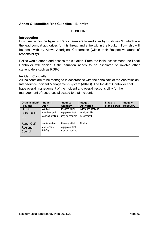#### <span id="page-35-0"></span>**Annex G: Identified Risk Guideline – Bushfire**

#### **BUSHFIRE**

#### **Introduction**

Bushfires within the Ngukurr Region area are looked after by Bushfires NT which are the lead combat authorities for this threat, and a fire within the Ngukurr Township will be dealt with by Alawa Aboriginal Corporation (within their Respective areas of responsibility).

Police would attend and assess the situation. From the initial assessment, the Local Controller will decide if the situation needs to be escalated to involve other stakeholders such as RGRC.

#### **Incident Controller**

All incidents are to be managed in accordance with the principals of the Australasian Inter-service Incident Management System (AIIMS). The Incident Controller shall have overall management of the incident and overall responsibility for the management of resources allocated to that incident.

| Organisation/<br>Provider         | Stage 1:<br><b>Alert</b>                 | Stage 2:<br><b>Standby</b>                           | Stage 3:<br><b>Activation</b> | Stage 4:<br><b>Stand down</b> | Stage 5:<br><b>Recovery</b> |
|-----------------------------------|------------------------------------------|------------------------------------------------------|-------------------------------|-------------------------------|-----------------------------|
| <b>LOCAL</b>                      | Alert all                                | Prepare initial                                      | Attend Incident and           |                               |                             |
| <b>CONTROLL</b>                   | members and                              | equipment that                                       | conduct initial               |                               |                             |
| ER                                | conduct briefing                         | may be required                                      | assessment                    |                               |                             |
| Roper Gulf<br>Regional<br>Council | Alert members<br>and conduct<br>briefing | Prepare initial<br>equipment that<br>may be required | Monitor                       |                               |                             |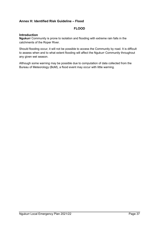#### <span id="page-36-0"></span>**Annex H: Identified Risk Guideline – Flood**

#### **FLOOD**

#### **Introduction**

**Ngukurr** Community is prone to isolation and flooding with extreme rain falls in the catchments of the Roper River.

Should flooding occur, it will not be possible to access the Community by road. It is difficult to assess when and to what extent flooding will affect the Ngukurr Community throughout any given wet season.

Although some warning may be possible due to computation of data collected from the Bureau of Meteorology (BoM), a flood event may occur with little warning.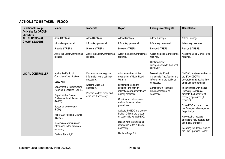## **ACTIONS TO BE TAKEN - FLOOD**

| <b>Functional Group:</b><br><b>Activities for GROUP</b><br><b>LEADERS</b> | <b>Minor</b>                                                                                                                                                                                                                                                                                                                                                                                | <b>Moderate</b>                                                                                                                                                     | <b>Major</b>                                                                                                                                                                                                                                                                                                                                                                                                                             | <b>Falling River Heights</b>                                                                                                                                       | <b>Cancellation</b>                                                                                                                                                                                                                                                                                                                                                                                                                                             |
|---------------------------------------------------------------------------|---------------------------------------------------------------------------------------------------------------------------------------------------------------------------------------------------------------------------------------------------------------------------------------------------------------------------------------------------------------------------------------------|---------------------------------------------------------------------------------------------------------------------------------------------------------------------|------------------------------------------------------------------------------------------------------------------------------------------------------------------------------------------------------------------------------------------------------------------------------------------------------------------------------------------------------------------------------------------------------------------------------------------|--------------------------------------------------------------------------------------------------------------------------------------------------------------------|-----------------------------------------------------------------------------------------------------------------------------------------------------------------------------------------------------------------------------------------------------------------------------------------------------------------------------------------------------------------------------------------------------------------------------------------------------------------|
| <b>ALL FUNCTIONAL</b>                                                     | Attend Briefings.                                                                                                                                                                                                                                                                                                                                                                           | Attend Briefings.                                                                                                                                                   | Attend Briefings.                                                                                                                                                                                                                                                                                                                                                                                                                        | Attend Briefings.                                                                                                                                                  | Attend Briefings.                                                                                                                                                                                                                                                                                                                                                                                                                                               |
| <b>GROUP LEADERS</b>                                                      | Inform key personnel                                                                                                                                                                                                                                                                                                                                                                        | Inform key personnel.                                                                                                                                               | Inform key personnel.                                                                                                                                                                                                                                                                                                                                                                                                                    | Inform key personnel.                                                                                                                                              | Inform key personnel.                                                                                                                                                                                                                                                                                                                                                                                                                                           |
|                                                                           | Provide SITREPS.                                                                                                                                                                                                                                                                                                                                                                            | Provide SITREPS.                                                                                                                                                    | Provide SITREPS.                                                                                                                                                                                                                                                                                                                                                                                                                         | Provide SITREPS.                                                                                                                                                   | Provide SITREPS.                                                                                                                                                                                                                                                                                                                                                                                                                                                |
|                                                                           | Assist the Local Controller as<br>required.                                                                                                                                                                                                                                                                                                                                                 | Assist the Local Controller as<br>required.                                                                                                                         | Assist the Local Controller as<br>required.                                                                                                                                                                                                                                                                                                                                                                                              | Assist the Local Controller as<br>required.                                                                                                                        | Assist the Local Controller as<br>required.                                                                                                                                                                                                                                                                                                                                                                                                                     |
|                                                                           |                                                                                                                                                                                                                                                                                                                                                                                             |                                                                                                                                                                     |                                                                                                                                                                                                                                                                                                                                                                                                                                          | Confirm debrief<br>arrangements with the Local<br>Controller.                                                                                                      |                                                                                                                                                                                                                                                                                                                                                                                                                                                                 |
| <b>LOCAL CONTROLLER</b>                                                   | Advise the Regional<br>Controller of the situation.<br>Liaise with:<br>Department of Infrastructure,<br>Planning & Logistics (DoIPL).<br>Department of Natural<br><b>Environment and Resources</b><br>(DNER).<br>Bureau of Meteorology<br>(BOM).<br>Roper Gulf Regional Council<br>(RGRC).<br>Disseminate warnings and<br>information to the public as<br>necessary.<br>Declare Stage 1, if | Disseminate warnings and<br>information to the public as<br>necessary.<br>Declare Stage 2, if<br>necessary.<br>Prepare to close roads and<br>evacuate if necessary. | Advise members of the<br>declaration of Major Flood<br>Warning;<br>Brief members on the<br>situation; and confirm<br>relocation arrangements and<br>agency readiness.<br>Consider school closure/s<br>and confirm evacuation<br>procedures.<br>Activate the EOC and ensure<br>Liaison Officers are present<br>or accessible via WebEOC.<br>Disseminate warnings and<br>information to the public as<br>necessary.<br>Declare Stage 3, if | Disseminate 'Flood<br>Cancellation" notification and<br>information to the public as<br>necessary.<br>Continue with Recovery<br>Stage operations, as<br>necessary. | Notify Committee members of<br>the STANDDOWN<br>declaration and advise time<br>and place for debriefing.<br>In conjunction with the NT<br>Recovery Coordinator<br>facilitate the handover of<br>recovery operations (if<br>required).<br>Close EOC and stand down<br>the Emergency Management<br>Organisation.<br>Any ongoing recovery<br>operations may operate from<br>alternative premises.<br>Following the debrief, finalise<br>the Post Operation Report. |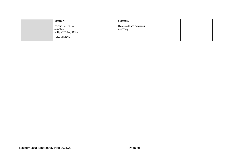| necessary.                                                                          | necessary.                                |  |
|-------------------------------------------------------------------------------------|-------------------------------------------|--|
| Prepare the EOC for<br>activation.<br>Notify NTES Duty Officer.<br>Liaise with BOM. | Close roads and evacuate if<br>necessary. |  |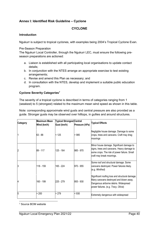#### <span id="page-39-0"></span>**Annex I: Identified Risk Guideline – Cyclone**

#### **CYCLONE**

#### **Introduction**

Ngukurr is subject to tropical cyclones, with examples being 2004's Tropical Cyclone Evan.

#### Pre-Season Preparation

The Ngukurr Local Controller, through the Ngukurr LEC, must ensure the following preseason preparations are actioned:

- a. Liaison is established with all participating local organisations to update contact details;
- b. In conjunction with the NTES arrange an appropriate exercise to test existing arrangements;
- c. Revise and amend this Plan as necessary; and
- d. In consultation with the NTES, develop and implement a suitable public education program.

#### **Cyclone Severity Categories[7](#page-39-1)**

The severity of a tropical cyclone is described in terms of categories ranging from 1 (weakest) to 5 (strongest) related to the maximum mean wind speed as shown in this table.

Note: corresponding approximate wind gusts and central pressure are also provided as a guide. Stronger gusts may be observed over hilltops, in gullies and around structures.

| <b>Category</b> | Maximum Mean<br>Wind (km/h) | Typical Strongest Central<br>Gust (km/h) | Pressure (hPa) | <b>Typical Effects</b>                                                                                                                                                      |
|-----------------|-----------------------------|------------------------------------------|----------------|-----------------------------------------------------------------------------------------------------------------------------------------------------------------------------|
|                 | 63 - 88                     | < 125                                    | > 985          | Negligible house damage. Damage to some<br>crops, trees and caravans. Craft may drag<br>moorings                                                                            |
|                 | 89 - 117                    | 125 - 164                                | 985 - 970      | Minor house damage. Significant damage to<br>signs, trees and caravans. Heavy damage to<br>some crops. The risk of power failure. Small<br>craft may break moorings.        |
| IЗ              | 118 - 159                   | 165 - 224                                | 970 - 955      | Some roof and structural damage. Some<br>caravans destroyed. Power failures likely.<br>(e.g. Winifred)                                                                      |
|                 | 160 - 199                   | 225 - 279                                | 955 - 930      | Significant roofing loss and structural damage.<br>Many caravans destroyed and blown away.<br>Dangerous airborne debris. Widespread<br>power failures. (e.g. Tracy, Olivia) |
| 5               | > 200                       | > 279                                    | < 930          | Extremely dangerous with widespread                                                                                                                                         |

<span id="page-39-1"></span> $\overline{a}$ <sup>7</sup> Source BOM website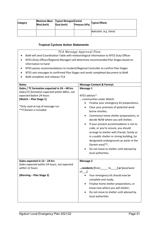| Category | Wind (km/h) | Maximum Mean   Typical Strongest Central<br>Gust (km/h) | Pressure (hPa) | <b>Typical Effects</b>    |
|----------|-------------|---------------------------------------------------------|----------------|---------------------------|
|          |             |                                                         |                | destruction. (e.g. Vance) |

#### **Tropical Cyclone Action Statements**

- *TCA Message Approval Flow* • BoM will send Coordination Table with meteorological information to NTES Duty Officer • NTES (Duty Officer/Regional Manager) will determine recommended Plan Stages based on information to hand
	- NTES passes recommendations to Incident/Regional Controller to confirm Plan Stages
	- NTES sets messages to confirmed Plan Stages and sends completed document to BoM
	- BoM completes and releases TCA

| <b>Notes</b>                                  | <b>Message Content &amp; Format:</b>        |
|-----------------------------------------------|---------------------------------------------|
| Gales / TC formation expected in 24 - 48 hrs  | Message 1                                   |
| Gales/TC formation expected within 48hrs, not |                                             |
| expected before 24 hours                      | NTES advises*                               |
| (Watch - Plan Stage 1)                        | communities under Watch:                    |
|                                               | Finalise your emergency kit preparations;   |
| *Only used at top of message run              | Clear your premises of potential wind-      |
| ** if Darwin is included                      | borne missiles;                             |
|                                               | Commence home shelter preparations, or      |
|                                               | decide NOW where you will shelter;          |
|                                               | If your present accommodation is not to     |
|                                               | code, or you're unsure, you should          |
|                                               | arrange to shelter with friends, family or  |
|                                               | in a public shelter or strong building, [or |
|                                               | designated underground car parks in the     |
|                                               | Darwin area]**;                             |
|                                               | Do not move to shelter until advised by     |
|                                               | local authorities.                          |
|                                               |                                             |
| Gales expected in 12 - 24 hrs                 | <b>Message 2</b>                            |
| Gales expected within 24 hours, not expected  |                                             |
| within 12 hours                               | residents [from to ] or [east/west          |
|                                               | $of$ ]                                      |
| (Warning - Plan Stage 2)                      | Your emergency kit should now be            |
|                                               | complete and ready;                         |
|                                               | Finalise home shelter preparations, or      |
|                                               | know now where you will shelter;            |
|                                               | Do not move to shelter until advised by     |
|                                               | local authorities                           |
|                                               |                                             |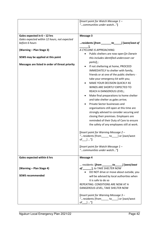|                                                                | [Insert point for Watch Message 1 -<br>"communities under watch"]                                                                                                                                                                                                                                                                                                                                                                                                                                                                                                                                                                                                                                                                                                                                             |
|----------------------------------------------------------------|---------------------------------------------------------------------------------------------------------------------------------------------------------------------------------------------------------------------------------------------------------------------------------------------------------------------------------------------------------------------------------------------------------------------------------------------------------------------------------------------------------------------------------------------------------------------------------------------------------------------------------------------------------------------------------------------------------------------------------------------------------------------------------------------------------------|
| Gales expected in $6 - 12$ hrs                                 | Message 3                                                                                                                                                                                                                                                                                                                                                                                                                                                                                                                                                                                                                                                                                                                                                                                                     |
| Gales expected within 12 hours, not expected<br>before 6 hours | residents [from ________ to ______] [west/east of                                                                                                                                                                                                                                                                                                                                                                                                                                                                                                                                                                                                                                                                                                                                                             |
| (Warning – Plan Stage 3)                                       | A CYCLONE IS APPROACHING:<br>Public shelters are now open [in Darwin                                                                                                                                                                                                                                                                                                                                                                                                                                                                                                                                                                                                                                                                                                                                          |
| SEWS may be applied at this point                              | this includes identified undercover car                                                                                                                                                                                                                                                                                                                                                                                                                                                                                                                                                                                                                                                                                                                                                                       |
| Messages are listed in order of threat priority                | parks];<br>If not sheltering at home, PROCEED<br>$\bullet$<br>IMMEDIATELY to shelter with family,<br>friends or at one of the public shelters -<br>take your emergency kit with you;<br>MAKE YOUR DECISION QUICKLY AS<br>WINDS ARE SHORTLY EXPECTED TO<br>REACH A DANGEROUS LEVEL;<br>Make final preparations to home shelter<br>and take shelter as gales arrive;<br>Private Sector businesses and<br>organisations still open at this time are<br>strongly advised to consider securing and<br>closing their premises. Employers are<br>reminded of their Duty of Care to ensure<br>the safety of any employees still at work.<br>[Insert point for Warning Message 2 -<br>" residents [from______ to____] or [east/west<br>of____] "]<br>[Insert point for Watch Message 1 -<br>"communities under watch"] |
| Gales expected within 6 hrs                                    | <b>Message 4</b>                                                                                                                                                                                                                                                                                                                                                                                                                                                                                                                                                                                                                                                                                                                                                                                              |
| (Warning - Plan Stage 4)                                       | residents $[from \_\_to \_\_to \_\_]$ [west/east<br>of _______], to TAKE SHELTER NOW<br>• DO NOT drive or move about outside, you                                                                                                                                                                                                                                                                                                                                                                                                                                                                                                                                                                                                                                                                             |
| <b>SEWS recommended</b>                                        | will be advised by local authorities when<br>it is safe to do so<br>REPEATING: CONDITIONS ARE NOW AT A<br>DANGEROUS LEVEL, TAKE SHELTER NOW                                                                                                                                                                                                                                                                                                                                                                                                                                                                                                                                                                                                                                                                   |
|                                                                | [Insert point for Warning Message 3 -<br>"residents [from_____ to____] or [east/west<br>of $]$ "]                                                                                                                                                                                                                                                                                                                                                                                                                                                                                                                                                                                                                                                                                                             |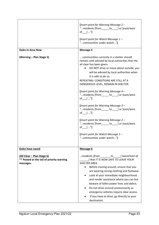|                                                                                      | [Insert point for Warning Message 2 -<br>"residents [from ______ to _____] or [east/west<br>of $]$ "]<br>[Insert point for Watch Message 1 -<br>"communities under watch"]                                                                                                                                                                                                                                                                                                                                                                                                                                                                                                                                                   |
|--------------------------------------------------------------------------------------|------------------------------------------------------------------------------------------------------------------------------------------------------------------------------------------------------------------------------------------------------------------------------------------------------------------------------------------------------------------------------------------------------------------------------------------------------------------------------------------------------------------------------------------------------------------------------------------------------------------------------------------------------------------------------------------------------------------------------|
| <b>Gales in Area Now</b>                                                             | <b>Message 5</b>                                                                                                                                                                                                                                                                                                                                                                                                                                                                                                                                                                                                                                                                                                             |
| (Warning - Plan Stage 5)                                                             | communities currently in a shelter should<br>remain until advised by local authorities that the<br>all clear has been given.<br>DO NOT drive or move about outside, you<br>will be advised by local authorities when<br>it is safe to do so.<br>REPEATING: CONDITIONS ARE STILL AT A<br>DANGEROUS LEVEL, REMAIN IN SHELTER.<br>[Insert point for Warning Message 4 -<br>" residents [from ______ to ____ ] or [east/west<br>of $]$ "]<br>[Insert point for Warning Message 3 -<br>" residents [from______ to____] or [east/west<br>of $]  ']$<br>[Insert point for Warning Message 2 -<br>" residents [from ______ to ____ ] or [east/west<br>of $]$ "]<br>[Insert point for Watch Message 1 -<br>"communities under watch"] |
| Gales have eased                                                                     | Message 6                                                                                                                                                                                                                                                                                                                                                                                                                                                                                                                                                                                                                                                                                                                    |
| (All Clear - Plan Stage 6)<br>** Posted at the tail of priority warning<br>messages. | residents [from $\qquad \qquad$ to $\qquad$ ] [west/east of<br>I that IT IS NOW SAFE TO LEAVE YOUR<br><b>SHELTER AREA.</b><br>Before moving around, ensure that you<br>$\bullet$<br>are wearing strong clothing and footwear.<br>Look at your immediate neighbourhood<br>and render assistance where you can but<br>beware of fallen power lines and debris.<br>Do not drive around unnecessarily as<br>$\bullet$<br>emergency vehicles require clear access.<br>If you have to drive, go directly to your<br>destination.                                                                                                                                                                                                   |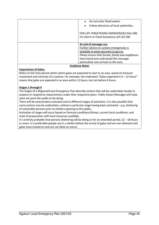| Do not enter flood waters                                                                |
|------------------------------------------------------------------------------------------|
| Follow directions of local authorities.                                                  |
| FOR LIFE THREATENING EMERGENCIES DIAL 000.<br>For Storm or Flood Assistance call 132 500 |
| At end of message run:                                                                   |
| Further advice on cyclone emergencies is                                                 |
| available at www.securent.nt.gov.au                                                      |
| Please ensure that friends, family and neighbours                                        |
| have heard and understood this message,                                                  |
| particularly new arrivals to the area.                                                   |
|                                                                                          |

#### **Guidance Notes**

#### **Expectation of Gales:**

Refers to the time period within which gales are expected to start in an area, based on forecast movement and intensity of a cyclone. For example, the statement "Gales expected in 6 – 12 hours" means that gales are expected in an area within 12 hours, but not before 6 hours.

#### **Stages 1 through 6**

The Stages of a Regional/Local Emergency Plan describe actions that will be undertaken locally to prepare or respond to requirements under their respective plans. Public Action Messages will state what we want the public to be doing.

There will be several plans activated and at different stages of activation. It is also possible that some actions may be undertaken, without a particular stage having been activated  $-e.g.$  sheltering of vulnerable persons prior to shelters opening to the public.

Activation of stages will occur based on forecast conditions/threat, current local conditions, and state of preparation with local resources available.

It is entirely probable that persons sheltering will be doing so for an extended period,  $12 - 18$  hours or more. It is preferable people are in a shelter before the arrival of gales and are not released until gales have moved on and are not likely to return.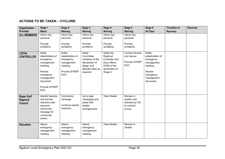### **ACTIONS TO BE TAKEN – CYCLONE**

| Organisation /                                  | Stage 1                                                                                                                                            | Stage 2:                                                                                         | Stage 3:                                                                                                       | Stage 4:                                                                                               | Stage 5                                                               | Stage 6                                                                                                           | <b>Transition to</b> | <b>Recovery</b> |
|-------------------------------------------------|----------------------------------------------------------------------------------------------------------------------------------------------------|--------------------------------------------------------------------------------------------------|----------------------------------------------------------------------------------------------------------------|--------------------------------------------------------------------------------------------------------|-----------------------------------------------------------------------|-------------------------------------------------------------------------------------------------------------------|----------------------|-----------------|
| <b>Provider</b>                                 | <b>Watch</b>                                                                                                                                       | Warning                                                                                          | <b>Warning</b>                                                                                                 | Warning                                                                                                | Warning                                                               | <b>All Clear</b>                                                                                                  | <b>Recovery</b>      |                 |
| <b>ALL MEMBERS</b>                              | Inform key<br>personal                                                                                                                             | Inform key<br>personal                                                                           | Inform key<br>personal                                                                                         | Inform key<br>personal                                                                                 | Inform key<br>personal                                                |                                                                                                                   |                      |                 |
|                                                 | Provide<br><b>SITREPS</b>                                                                                                                          | Provide<br><b>SITREPS</b>                                                                        | Provide<br><b>SITREPS</b>                                                                                      | Provide<br><b>SITREPS</b>                                                                              | Provide<br><b>SITREPS</b>                                             |                                                                                                                   |                      |                 |
| <b>LOCAL</b><br><b>CONTROLLER</b>               | Notify<br>stakeholders of<br>emergency<br>management<br>meeting.<br>Review<br>emergency<br>management<br>document.<br>Provide SITREP<br><b>EOC</b> | <b>Notify</b><br>stakeholders of<br>emergency<br>management<br>meeting.<br>Provide SITREP<br>EOC | <b>Notify</b><br>Committee<br>members of the<br>declaration of<br>Stage, and<br>allocate tasks as<br>required. | Notify the<br>Regional<br>Controller and<br>Duty Officer,<br>NTES of the<br>declaration of<br>Stage 4. | <b>Conduct Survey</b><br>and rescue.<br>Provide SITREP<br>EOC         | Notify<br>stakeholders of<br>emergency<br>management<br>meeting<br>Review<br>emergency<br>management<br>document. |                      |                 |
| <b>Roper Gulf</b><br>Regional<br><b>Council</b> | Identify hazards<br>and provide<br>reduction plan<br>structure<br>community<br>message for<br>community<br>(radio)                                 | Community<br>message<br>Continue hazard<br>reduction.                                            | Up to date<br>messaging and<br>assist with<br>shelter<br>arrangements                                          | <b>Take Shelter</b>                                                                                    | Remain in<br>shelter until<br>directed by OIC<br>to conduct<br>survey |                                                                                                                   |                      |                 |
| <b>Education</b>                                | Attend<br>emergency<br>management<br>meeting                                                                                                       | Attend<br>emergency<br>management<br>meeting                                                     | Attend<br>emergency<br>management<br>meeting                                                                   | Take Shelter.                                                                                          | Remain in<br>Shelter                                                  |                                                                                                                   |                      |                 |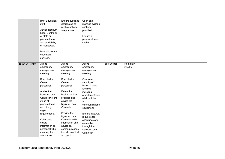|                       | <b>Brief Education</b><br>staff. | Ensure buildings<br>designated as | Open and<br>manage cyclone |                     |           |  |  |
|-----------------------|----------------------------------|-----------------------------------|----------------------------|---------------------|-----------|--|--|
|                       |                                  | public shelters                   | shelters                   |                     |           |  |  |
|                       | Advise Ngukurr                   | are prepared                      | provided                   |                     |           |  |  |
|                       | <b>Local Controller</b>          |                                   |                            |                     |           |  |  |
|                       | of state or                      |                                   | Ensure all                 |                     |           |  |  |
|                       | preparedness                     |                                   | personnel take             |                     |           |  |  |
|                       | and availability                 |                                   | shelter.                   |                     |           |  |  |
|                       | of manpower.                     |                                   |                            |                     |           |  |  |
|                       | Maintain normal                  |                                   |                            |                     |           |  |  |
|                       | education                        |                                   |                            |                     |           |  |  |
|                       | services.                        |                                   |                            |                     |           |  |  |
| <b>Sunrise Health</b> | Attend                           | Attend                            | Attend                     | <b>Take Shelter</b> | Remain in |  |  |
|                       | emergency                        | emergency                         | emergency                  |                     | Shelter   |  |  |
|                       | management                       | management                        | management                 |                     |           |  |  |
|                       | meeting                          | meeting                           | meeting                    |                     |           |  |  |
|                       | <b>Brief Health</b>              | <b>Brief Health</b>               | Complete                   |                     |           |  |  |
|                       | Centre                           | Centre                            | security of                |                     |           |  |  |
|                       | personnel.                       | personnel.                        | <b>Health Centre</b>       |                     |           |  |  |
|                       |                                  |                                   | facilities                 |                     |           |  |  |
|                       | Advise the                       | Determine                         | including                  |                     |           |  |  |
|                       | Ngukurr Local                    | health services                   | ambulance/esse             |                     |           |  |  |
|                       | Controller of the                | priorities and                    | ntial vehicles             |                     |           |  |  |
|                       | stage of                         | advise the                        | and                        |                     |           |  |  |
|                       | preparedness<br>and of any       | Ngukurr Local<br>Controller.      | communications             |                     |           |  |  |
|                       | urgent                           |                                   | equipment.                 |                     |           |  |  |
|                       | requirements.                    | Provide the                       | Ensure that ALL            |                     |           |  |  |
|                       |                                  | Ngukurr Local                     | requests for               |                     |           |  |  |
|                       | Collect and                      | Controller with                   | assistance are             |                     |           |  |  |
|                       | collate                          | information and                   | channelled                 |                     |           |  |  |
|                       | information on                   | advice on                         | through the                |                     |           |  |  |
|                       | personnel who                    | communications,                   | Ngukurr Local              |                     |           |  |  |
|                       | may require                      | first aid, medical                | Controller.                |                     |           |  |  |
|                       | assistance                       | and public                        |                            |                     |           |  |  |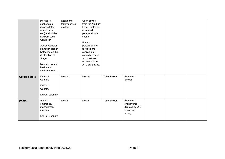|                      | moving to<br>shelters (e.g.<br>incapacitated,<br>wheelchairs,<br>etc.) and advise<br>Ngukurr Local<br>Controller.<br>Advise General<br>Manager, Health<br>Katherine on the<br>declaration of<br>Stage 1.<br>Maintain normal<br>health and<br>family services. | health and<br>family service<br>matters. | Upon advice<br>from the Ngukurr<br>Local Controller<br>ensure all<br>personnel take<br>shelter.<br>Ensure<br>personnel and<br>facilities are<br>available for<br>casualty receipt<br>and treatment<br>upon receipt of<br>All Clear advice. |                     |                                                                       |  |  |
|----------------------|---------------------------------------------------------------------------------------------------------------------------------------------------------------------------------------------------------------------------------------------------------------|------------------------------------------|--------------------------------------------------------------------------------------------------------------------------------------------------------------------------------------------------------------------------------------------|---------------------|-----------------------------------------------------------------------|--|--|
| <b>Outback Store</b> | <b>ID Stock</b><br>Quantity<br>ID Water<br>Quantity<br>ID Fuel Quantity                                                                                                                                                                                       | Monitor                                  | Monitor                                                                                                                                                                                                                                    | <b>Take Shelter</b> | Remain in<br>Shelter                                                  |  |  |
| <b>PAWA</b>          | Attend<br>emergency<br>management<br>meeting<br><b>ID Fuel Quantity</b>                                                                                                                                                                                       | Monitor                                  | Monitor                                                                                                                                                                                                                                    | <b>Take Shelter</b> | Remain in<br>shelter until<br>directed by OIC<br>to conduct<br>survey |  |  |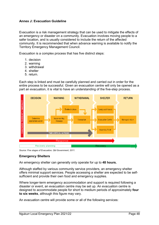#### <span id="page-47-0"></span>**Annex J: Evacuation Guideline**

Evacuation is a risk management strategy that can be used to mitigate the effects of an emergency or disaster on a community. Evacuation involves moving people to a safer location, and is usually considered to include the return of the affected community. It is recommended that when advance warning is available to notify the Territory Emergency Management Council.

Evacuation is a complex process that has five distinct steps:

- 1. decision
- 2. warning
- 3. withdrawal
- 4. shelter
- 5. return.

Each step is linked and must be carefully planned and carried out in order for the entire process to be successful. Given an evacuation centre will only be opened as a part an evacuation, it is vital to have an understanding of the five-step process.



*Source: Five stages of Evacuation, Qld Government, 2011.*

#### **Emergency Shelters**

An emergency shelter can generally only operate for up to **48 hours.**

Although staffed by various community service providers, an emergency shelter offers minimal support services. People accessing a shelter are expected to be selfsufficient and provide their own food and emergency supplies.

Where longer-term emergency accommodation and support is required following a disaster or event, an evacuation centre may be set up. An evacuation centre is designed to accommodate people for short to medium periods of approximately **four to six weeks**, although this figure may vary.

An evacuation centre will provide some or all of the following services: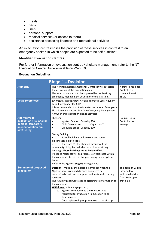- meals
- beds
- linen
- personal support
- medical services (or access to them)
- assistance accessing finances and recreational activities

An evacuation centre implies the provision of these services in contrast to an emergency shelter, in which people are expected to be self-sufficient.

#### **Identified Evacuation Centres**

For further information on evacuation centres / shelters management, refer to the NT Evacuation Centre Guide available on WebEOC.

#### **Evacuation Guidelines**

|                                                                                                               | <b>Stage 1 - Decision</b>                                                                                                                                                                                                                                                                                                                                                                                                                                                                                                                                                                        |                                                                                          |
|---------------------------------------------------------------------------------------------------------------|--------------------------------------------------------------------------------------------------------------------------------------------------------------------------------------------------------------------------------------------------------------------------------------------------------------------------------------------------------------------------------------------------------------------------------------------------------------------------------------------------------------------------------------------------------------------------------------------------|------------------------------------------------------------------------------------------|
| <b>Authority</b>                                                                                              | The Northern Region Emergency Controller will authorise<br>the activation of the evacuation plan.<br>This evacuation plan is to be approved by the Territory<br>Emergency Management Council prior to activation.                                                                                                                                                                                                                                                                                                                                                                                | Northern Regional<br>Controller in<br>conjunction with<br><b>TEMC</b>                    |
| <b>Legal references</b>                                                                                       | Emergency Management Act and approved Local Ngukurr<br>Local Emergency Plan (LEP).<br>It is recommended that the Minister declares an Emergency<br>Situation under section 18 of the Emergency Management<br>Act when this evacuation plan is activated.                                                                                                                                                                                                                                                                                                                                         |                                                                                          |
| <b>Alternative to</b><br>evacuation? I.e. shelter<br>in place, temporary<br>accommodation on-<br>site/nearby. | Shelters<br>Ngukurr School Capacity 200<br>$\bullet$<br>Child Care Centre<br>Capacity 300<br>$\bullet$<br>Urapunga School Capacity 100<br>$\bullet$<br><b>Strong Buildings</b><br>School buildings built to code and some<br>blockhouses built to code<br>There are 75 block houses throughout the<br>community of Ngukurr which are considered strong<br>buildings. These buildings are to be identified.<br>If needed residents will be progressively relocated within<br>the community to $\leq$<br>> for pre staging post a cyclone<br>impact.<br>Refer to the Ngukurr staging arrangements. | Ngukurr Local<br>Controller to<br>arrange.                                               |
| <b>Summary of proposed</b><br>evacuation                                                                      | Decision - made by the Regional Controller when the<br>Ngukurr have sustained damage during <to be<br="">determined&gt; that cannot support residents in situ during<br/>recovery.<br/>The Ngukurr Local Controller to disseminate information to<br/>the community.<br/>Withdrawal - four stage process;<br/>Ngukurr community to the Ngukurr to be<br/>a.<br/>registered for evacuation to <location be<br="" to="">determined&gt;;<br/>Once registered, groups to move to the airstrip<br/>b.</location></to>                                                                                 | The decision will be<br>informed by<br>additional advice<br>from BOM up to<br>that time. |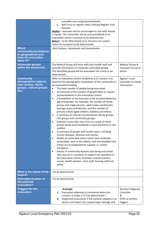| <b>Which</b><br>communities/outstations<br>or geographical area<br>does the evacuation<br>apply to?  | assembly area using buses/vehicles;<br>Red Cross to register check utilising Register Find<br>c.<br>Reunite.<br>Shelter - evacuees will be encouraged to stay with friends<br>or family. The remainder will be accommodated at an<br>evacuation centre <location be="" determined="" to=""><br/>Return - to be determined once recovery can sustain<br/>return to <location be="" determined="" to=""><br/><out and="" homelands="" homesteads="" stations,=""></out></location></location>                                                                                                                                                                                                                                                                                                                                                                                                                                                                                                                                                                                                                                                                                                                                                                                                                                                                                                                           |                                                                      |
|------------------------------------------------------------------------------------------------------|-----------------------------------------------------------------------------------------------------------------------------------------------------------------------------------------------------------------------------------------------------------------------------------------------------------------------------------------------------------------------------------------------------------------------------------------------------------------------------------------------------------------------------------------------------------------------------------------------------------------------------------------------------------------------------------------------------------------------------------------------------------------------------------------------------------------------------------------------------------------------------------------------------------------------------------------------------------------------------------------------------------------------------------------------------------------------------------------------------------------------------------------------------------------------------------------------------------------------------------------------------------------------------------------------------------------------------------------------------------------------------------------------------------------------|----------------------------------------------------------------------|
| <b>Vulnerable groups</b><br>within the community                                                     | The Medical Group will liaise with local health staff and<br>provide information on medically vulnerable people.<br>The Identified people will be evacuated <at a="" be<br="" time="" to="">determined&gt;.</at>                                                                                                                                                                                                                                                                                                                                                                                                                                                                                                                                                                                                                                                                                                                                                                                                                                                                                                                                                                                                                                                                                                                                                                                                      | Medical Group &<br><b>Transport Group to</b><br>action.              |
| <b>Community</b><br>demographics (approx.<br>total number, family<br>groups, cultural groups<br>etc) | Refer to Evacuation Centre Guidelines p.21 (section 4.2)<br>Examine the demographic breakdown of the community to<br>be evacuated including<br>The total number of people being evacuated.<br>$\bullet$<br>An estimate of the number of people likely to require<br>$\bullet$<br>accommodation in the evacuation centre.<br>A breakdown of the evacuees to be accommodated by<br>$\bullet$<br>age and gender. For example, the number of family<br>groups and single persons, adult males and females,<br>teenage males and females, and the number of<br>primary school-aged children, toddlers and infants.<br>A summary of cultural considerations, family groups,<br>$\bullet$<br>skin groups and community groups.<br>Potential issues that may arise as a result of these<br>$\bullet$<br>groups being accommodated in close proximity to one<br>another.<br>A summary of people with health issues, including<br>$\bullet$<br>chronic diseases, illnesses and injuries.<br>Details of vulnerable clients (other than medically<br>vulnerable), such as the elderly, frail and disabled (and<br>if they are accompanied by support i.e.: family<br>members)<br>Details of community workers also being evacuated<br>$\bullet$<br>who may be in a position to support the operation of<br>the evacuation centre. Examples include teachers,<br>nurses, health workers, shire staff, housing staff and<br>police. | <b>Ngukurr Local</b><br>Controller to obtain<br>information.         |
| What is the nature of the<br>hazard?                                                                 | <to be="" determined=""></to>                                                                                                                                                                                                                                                                                                                                                                                                                                                                                                                                                                                                                                                                                                                                                                                                                                                                                                                                                                                                                                                                                                                                                                                                                                                                                                                                                                                         |                                                                      |
| <b>Estimated duration of</b><br>the potential<br>evacuation?                                         | <to be="" determined=""></to>                                                                                                                                                                                                                                                                                                                                                                                                                                                                                                                                                                                                                                                                                                                                                                                                                                                                                                                                                                                                                                                                                                                                                                                                                                                                                                                                                                                         |                                                                      |
| <b>Triggers for the</b><br>evacuation                                                                | <example<br>Evacuation planning to commence when the<br/>1.<br/>Location is under a <to be="" determined="">".<br/>Implement evacuation if the Cyclone category is at<br/>2.<br/>severe and impact has caused major damage and</to></example<br>                                                                                                                                                                                                                                                                                                                                                                                                                                                                                                                                                                                                                                                                                                                                                                                                                                                                                                                                                                                                                                                                                                                                                                      | Northern Regional<br>Controller<br>&<br>NTES to confirm<br>triggers. |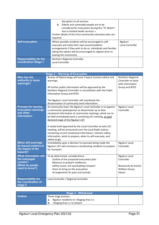|                                                              | disruption to all services.<br>Elderly and vulnerable people are to be<br>3.<br>considered for evacuation during the "TC Watch"<br>due to limited health services.><br>Further details of the intra-community relocation plan are<br>required.            |                             |
|--------------------------------------------------------------|-----------------------------------------------------------------------------------------------------------------------------------------------------------------------------------------------------------------------------------------------------------|-----------------------------|
| <b>Self-evacuation</b>                                       | Where possible residents will be encouraged to self-<br>evacuate and make their own accommodation<br>arrangements if they wish to do so. Individuals and families<br>taking this option will be encouraged to register prior to<br>leaving the community. | Ngukurr<br>Local Controller |
| <b>Responsibility for the</b><br><b>coordination Stage 1</b> | Northern Regional Controller<br>Local Controller                                                                                                                                                                                                          |                             |

| <b>Stage 2 - Warning of Evacuation</b>                                                        |                                                                                                                                                                                                                                                                                                                                                                                                                                                                                |                                                                                                   |  |
|-----------------------------------------------------------------------------------------------|--------------------------------------------------------------------------------------------------------------------------------------------------------------------------------------------------------------------------------------------------------------------------------------------------------------------------------------------------------------------------------------------------------------------------------------------------------------------------------|---------------------------------------------------------------------------------------------------|--|
| Who has the<br>authority to issue<br>warnings?                                                | Bureau of Meteorology will issue Tropical Cyclone advice and<br>warnings.<br>All further public information will be approved by the<br>Northern Regional Controller in consultation with the Public<br><b>Information Group and NTES</b><br>The Ngukurr Local Controller will coordinate the                                                                                                                                                                                   | Northern Regional<br>Controller to liaise<br>with Information<br>Group and NTES                   |  |
|                                                                                               | dissemination of community level information.                                                                                                                                                                                                                                                                                                                                                                                                                                  |                                                                                                   |  |
| <b>Process for issuing</b><br>evacuation warnings<br>and other<br><b>information</b>          | At community level, the Ngukurr Local Controller is to appoint<br>a community spokesperson to disseminate up to date<br>situational information at community meetings; which are to<br>be held immediately post a convening LEC meeting, at each<br>declared stage of the Ngukurr LEP.<br>A media brief approved by the Local Controller at each LEC<br>meeting, will be announced over the Local Radio station<br>containing current situational information, relevant safety | <b>Ngukurr Local</b><br>Controller                                                                |  |
|                                                                                               | information, what to prepare, when to self-evacuate, and<br>where to go.                                                                                                                                                                                                                                                                                                                                                                                                       |                                                                                                   |  |
| <b>When will warnings</b><br>be issued (relative to<br>the impact of the<br>hazard)?          | Immediately upon a decision to evacuate being made the<br>Ngukurr LEC will commence coordinating residents to prepare<br>for transport.                                                                                                                                                                                                                                                                                                                                        | Ngukurr Local<br>Controller                                                                       |  |
| <b>What information will</b><br>the messages<br>contain?<br>(What do people<br>need to know?) | To be determined: considerations -<br>Outline of the proposed evacuation plan<br>$\overline{\phantom{a}}$<br>Measure to prepare residences<br>$\blacksquare$<br>Safety issues; not overloading transport<br>$\overline{\phantom{a}}$<br>Items to bring on the evacuation<br>$\overline{\phantom{a}}$<br>Arrangements for pets and animals<br>$\overline{\phantom{a}}$                                                                                                          | Ngukurr Local<br>Controller<br><b>Biosecurity &amp; Animal</b><br><b>Welfare Group</b><br>liaison |  |
| <b>Responsibility for</b><br>the coordination of<br>stage 2                                   | Local Controller / Regional Controller                                                                                                                                                                                                                                                                                                                                                                                                                                         |                                                                                                   |  |

| Stage 3 - Withdrawal                               |                                                                  |  |  |
|----------------------------------------------------|------------------------------------------------------------------|--|--|
| <b>Outline</b>                                     | Three stage process;                                             |  |  |
|                                                    | <b>a.</b> Ngukurr residents to <staging 1="" area="">;</staging> |  |  |
| <staging 1="" area=""> to Airport<br/>b.</staging> |                                                                  |  |  |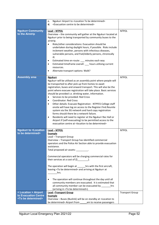|                                                                                          | Ngukurr Airport to <location be="" determined="" to=""><br/>c.</location>                                                                                                                                                                                                                                                                                                                                                                                                                                                                                                                                                                                                                                                                                                                                                                                                            |                        |
|------------------------------------------------------------------------------------------|--------------------------------------------------------------------------------------------------------------------------------------------------------------------------------------------------------------------------------------------------------------------------------------------------------------------------------------------------------------------------------------------------------------------------------------------------------------------------------------------------------------------------------------------------------------------------------------------------------------------------------------------------------------------------------------------------------------------------------------------------------------------------------------------------------------------------------------------------------------------------------------|------------------------|
|                                                                                          | <evacuation be="" centre="" determined="" to=""><br/>d.</evacuation>                                                                                                                                                                                                                                                                                                                                                                                                                                                                                                                                                                                                                                                                                                                                                                                                                 |                        |
|                                                                                          |                                                                                                                                                                                                                                                                                                                                                                                                                                                                                                                                                                                                                                                                                                                                                                                                                                                                                      |                        |
| <b>Ngukurr Community</b><br>to the Airstrip                                              | Lead - NTPOL<br>Overview - the community will gather at the Ngukurr located at<br>Ngukurr prior to being transported by community buses to the<br>airstrip.<br>Risks/other considerations: Evacuation should be<br>$\bullet$<br>undertaken during daylight hours, if possible. Risks include<br>inclement weather, persons with infectious diseases,<br>vulnerable persons, and frail/elderly persons, chronically<br>ill.<br>Estimated time en-route: __ minutes each way<br>$\bullet$<br>Estimated timeframe overall: __ hours utilising current<br>٠<br>resources.<br>Alternate transport options: Walk?<br>٠                                                                                                                                                                                                                                                                     | <b>NTPOL</b>           |
| <b>Assembly area</b>                                                                     | <b>Ngukurr</b><br>Ngukurr will be utilised as an assembly point where people will<br>be transported to after pick up from homes to await<br>registration, buses and onward transport. This will also be the<br>point where evacuee registration will take place. Basic services<br>should be provided i.e. drinking water, information.<br>Services to be provided: Red Cross<br>$\bullet$<br><b>Coordinator: Red Cross</b><br>$\bullet$<br>Other details: Evacuee Registration - NTPFES College staff<br>$\bullet$<br>onsite will have log on access to the Register.Find.Reunite<br>system via the 3G network and hard copy registration<br>forms should there be a network failure.<br>Residents will need to register at the Ngukurr Rec Hall or<br>$\bullet$<br>Airport if (self-evacuating) to be permitted access to the<br>evacuation centre at < location to be determined> | <b>NTPOL</b>           |
| <b>Ngukurr to <location< b=""><br/>to be determined&gt;</location<></b>                  | Lead - NTPOL<br><b>Example</b><br>Lead - Transport Group<br>Overview - Transport Group has identified commercial<br>operators and the Police Air Section able to provide evacuation<br>assistance.<br>Total proposed air assets: _________.<br>Commercial operators will be charging commercial rates for<br>The operation will begin at _______hrs with the first aircraft,<br>leaving <to be="" determined=""> and arriving at Ngukurr at<br/>hrs.<br/>The operation will continue throughout the day until all<br/><math display="inline">\bullet</math><br/>community members are evacuated. It is estimated that<br/>all community member can be evacuated by _______hrs<br/>(arriving in <to be="" determined="">).</to></to>                                                                                                                                                  | <b>NTPOL</b>           |
| <location> Airport<br/>to Evacuation Centre<br/><to be="" determined=""></to></location> | <b>Lead-Transport Group</b><br><b>Example</b><br>Overview - Buses (Buslink) will be on standby at <location to<br="">be determined&gt; Airport from ______ am to receive passengers</location>                                                                                                                                                                                                                                                                                                                                                                                                                                                                                                                                                                                                                                                                                       | <b>Transport Group</b> |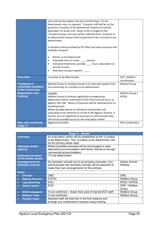|                                                               | and continue throughout the day transferring to <to be<br="">determined&gt; only, as required. Transport staff will be on the<br/>ground at <location be="" determined="" to=""> Airport to marshal<br/>passengers on buses only. Buses to be arranged by the<br/>Transport Group. Evacuees will be collected from <location to<br="">be determined&gt; Airport and transported to the <location be<br="" to="">determined&gt;.<br/>A reception team provided by NT Police will meet evacuees and<br/>facilitate transport.<br/>Details: to be determined<br/><math display="inline">\bullet</math><br/>Estimated time en-route: ____ minutes<br/><math display="block">\bullet</math><br/>Estimated timeframe: possibly hours, dependant on<br/>aircraft arrivals.<br/>Alternate transport options:<br/><math>\bullet</math></location></location></location></to> |                                 |
|---------------------------------------------------------------|---------------------------------------------------------------------------------------------------------------------------------------------------------------------------------------------------------------------------------------------------------------------------------------------------------------------------------------------------------------------------------------------------------------------------------------------------------------------------------------------------------------------------------------------------------------------------------------------------------------------------------------------------------------------------------------------------------------------------------------------------------------------------------------------------------------------------------------------------------------------|---------------------------------|
| <b>End point</b>                                              | <location be="" determined="" to=""></location>                                                                                                                                                                                                                                                                                                                                                                                                                                                                                                                                                                                                                                                                                                                                                                                                                     | EOC / Welfare<br>coordination   |
| <b>Transport of</b><br>vulnerable members<br>of the community | Medical Group to arrange transport of vulnerable people from<br>the community to <location be="" determined="" to="">.</location>                                                                                                                                                                                                                                                                                                                                                                                                                                                                                                                                                                                                                                                                                                                                   | <b>Medical Group</b>            |
| <b>Registration and</b><br>tracking                           | Example<br>Welfare Group to activate registration arrangements.<br>Registration will be undertaken by NT Police and will occur at<br>Ngukurr Rec Hall. Names of evacuees will be obtained prior to<br>boarding buses.<br>Where possible details of individuals and families self-<br>evacuating to be obtained on arrival at the Ngukurr Airstrip. If<br>persons are not registered as evacuees or self-evacuees they<br>will not be provided access to the evacuation shelter.                                                                                                                                                                                                                                                                                                                                                                                     | Welfare Group /<br><b>NTPOL</b> |
| Who will coordinate<br>stage 3?                               | Regional Controller.                                                                                                                                                                                                                                                                                                                                                                                                                                                                                                                                                                                                                                                                                                                                                                                                                                                | EOC coordination.               |

| Stage 4 - Shelter                                 |                                                                                                                                                               |                          |  |
|---------------------------------------------------|---------------------------------------------------------------------------------------------------------------------------------------------------------------|--------------------------|--|
| <b>Overview</b>                                   | An evacuation centre will be established at the <location<br>to be determined&gt;. The <location be="" determined="" to=""> will</location></location<br>     |                          |  |
|                                                   | be the primary areas used.                                                                                                                                    |                          |  |
| <b>Alternate shelter</b>                          | Where possible evacuees will be encouraged to seek                                                                                                            |                          |  |
| options.                                          | alternative accommodation with family, friends or through<br>commercial accommodation.                                                                        |                          |  |
| <b>Estimated duration</b><br>of the shelter phase | <to be="" determined="">.</to>                                                                                                                                |                          |  |
| <b>Arrangements for</b><br>domestic animals       | No domestic animals are to accompany evacuees. Any<br>self-evacuees with domestic animals will be expected to<br>make their own arrangements for the animals. | Advise Animal<br>Welfare |  |
| <b>Roles</b>                                      |                                                                                                                                                               |                          |  |
| <b>Director</b><br>$\bullet$                      | <b>CMC</b>                                                                                                                                                    | <b>CMC</b>               |  |
| <b>Deputy Director</b><br>$\bullet$               | <b>DTFHC</b>                                                                                                                                                  | <b>Welfare Group</b>     |  |
| Log./planning<br>$\bullet$                        | EOC.                                                                                                                                                          | NTES / NTPOL             |  |
| <b>Admin teams</b><br>$\bullet$                   | <b>EOC</b>                                                                                                                                                    | CMC / Welfare            |  |
|                                                   |                                                                                                                                                               | Group                    |  |
| <b>Shift manager/s</b><br>$\bullet$               | To be confirmed – drawn from pool of trained DCF staff.                                                                                                       | <b>Welfare Group</b>     |  |
| <b>Welfare Team</b><br>$\bullet$                  | To be confirmed<br><b>Welfare Group</b>                                                                                                                       |                          |  |
| <b>Facility Team</b>                              | Selected staff will lead this in the first instance and<br>arrange any maintenance required using existing                                                    |                          |  |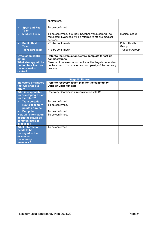|                                                                             | contractors.                                                                                                                         |                               |
|-----------------------------------------------------------------------------|--------------------------------------------------------------------------------------------------------------------------------------|-------------------------------|
| <b>Sport and Rec</b><br>$\bullet$<br>Team                                   | To be confirmed                                                                                                                      |                               |
| <b>Medical Team</b><br>$\bullet$                                            | To be confirmed. It is likely St Johns volunteers will be<br>requested. Evacuees will be referred to off-site medical<br>services.   | <b>Medical Group</b>          |
| <b>Public Health</b><br><b>Team</b>                                         | <to be="" confirmed=""></to>                                                                                                         | <b>Public Health</b><br>Group |
| <b>Transport Team</b><br>$\bullet$                                          | <to be="" confirmed=""></to>                                                                                                         | <b>Transport Group</b>        |
| <b>Evacuation centre</b><br>set-up                                          | Refer to the Evacuation Centre Template for set-up<br>considerations                                                                 |                               |
| What strategy will be<br>put in place to close<br>the evacuation<br>centre? | Closure of the evacuation centre will be largely dependent<br>on the extent of inundation and complexity of the recovery<br>process. |                               |

| <b>Stage 5 - Return</b>                                                                         |                                                                                     |  |
|-------------------------------------------------------------------------------------------------|-------------------------------------------------------------------------------------|--|
| Indicators or triggers<br>that will enable a<br>return                                          | (refer to recovery action plan for the community)<br><b>Dept. of Chief Minister</b> |  |
| Who is responsible<br>for developing a plan<br>for the return?                                  | Recovery Coordination in conjunction with IMT.                                      |  |
| <b>Transportation</b><br>$\bullet$                                                              | To be confirmed.                                                                    |  |
| <b>Route/assembly</b><br>$\bullet$<br>points en-route                                           | To be confirmed.                                                                    |  |
| <b>End point</b><br>$\bullet$                                                                   | To be confirmed.                                                                    |  |
| <b>How will information</b><br>about the return be<br>communicated to<br>evacuees?              | To be confirmed.                                                                    |  |
| <b>What information</b><br>needs to be<br>conveyed to the<br>evacuated<br>community<br>members? | To be confirmed.                                                                    |  |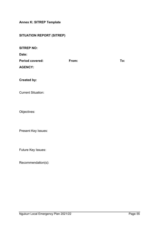<span id="page-54-0"></span>**Annex K: SITREP Template** 

# **SITUATION REPORT (SITREP)**

| <b>SITREP NO:</b><br>Date:               |       |     |
|------------------------------------------|-------|-----|
| <b>Period covered:</b><br><b>AGENCY:</b> | From: | To: |
| <b>Created by:</b>                       |       |     |
| <b>Current Situation:</b>                |       |     |
| Objectives:                              |       |     |
| Present Key Issues:                      |       |     |
| Future Key Issues:                       |       |     |

Recommendation(s):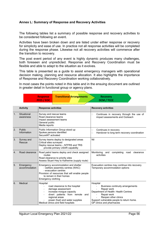#### <span id="page-55-0"></span>**Annex L: Summary of Response and Recovery Activities**

The following tables list a summary of possible response and recovery activities to be considered following an event.

Activities have been broken down and are listed under either response or recovery for simplicity and ease of use. In practice not all response activities will be completed during the response phase. Likewise not all recovery activities will commence after the transition to recovery.

The post event period of any event is highly dynamic produces many challenges, both foreseen and unpredicted. Response and Recovery Coordination must be flexible and able to adapt to the situation as it evolves.

This table is presented as a guide to assist emergency managers with operational decision making, planning and resource allocation. It also highlights the importance of Response and Recovery Coordination working collaboratively.

In most cases the points noted in this table and in the ensuing document are outlined in greater detail in functional group or agency plans.

**Recovery** 

|    |                            | <b>PFES / EOC</b>                                                                                                                                                                                                                            | <b>DCM / TCCC</b>                                                                                                                                                                                                    |
|----|----------------------------|----------------------------------------------------------------------------------------------------------------------------------------------------------------------------------------------------------------------------------------------|----------------------------------------------------------------------------------------------------------------------------------------------------------------------------------------------------------------------|
|    |                            |                                                                                                                                                                                                                                              |                                                                                                                                                                                                                      |
|    | <b>Activity</b>            | <b>Response activities</b>                                                                                                                                                                                                                   | <b>Recovery activities</b>                                                                                                                                                                                           |
| 1. | Situational<br>awareness   | Survey and rescue teams<br>Road clearance teams<br>Impact assessment teams<br>General public<br>Media reports                                                                                                                                | Continues in recovery through the use of<br>Ω<br>impact assessments and Outreach                                                                                                                                     |
| 2. | Public<br>Information      | Public Information Group stood up<br>Spokes persons identified<br>SecureNT activated                                                                                                                                                         | Continues in recovery<br>□<br>Handover to long term recovery coordination<br>$\Box$                                                                                                                                  |
| 3. | Survey and<br>Rescue       | Survey teams deploy to designated areas<br>Critical sites surveyed<br>Deploy rescue teams - NTFRS and TRS<br>provide primary USAR capability                                                                                                 | Nil                                                                                                                                                                                                                  |
| 4. | Road clearance             | Road patrol teams deploy and check assigned<br>routes<br>Road clearance to priority sites<br>Assess Stuart Hwy to Katherine (supply route)                                                                                                   | Monitoring and<br>completing<br>road<br>clearance<br>activities                                                                                                                                                      |
| 5. | Emergency<br>accommodation | Emergency accommodation and shelter<br>- welfare assembly centres (WAC)<br>- evacuation centres<br>Provision of resources that will enable people<br>to remain in their homes<br>Emergency clothing                                          | Evacuation centres may continue into recovery.<br>Temporary accommodation options                                                                                                                                    |
| 6. | Medical                    | Hospital<br>road clearance to the hospital<br>$\blacksquare$<br>damage assessment<br>increase morgue capacity<br>divert patients from remote and<br>regional areas<br>power (fuel) and water supplies<br>Medical clinics and field hospitals | Hospital<br>Business continuity arrangements<br>Repair work<br>Department of Health- Health Centres<br>Repair work<br>Reopen other clinics<br>Support vulnerable people to return home.<br>GP clinics and pharmacies |

**Transitional Arrangements**

**Response**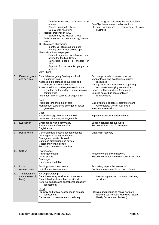|     |                                                 | Determine the need for clinics to be<br>opened<br>Assess damage to clinics<br>Deploy field hospital/s<br>Medical presence in WAC<br>ш<br>Supplied by the Medical Group<br>Ambulance pick up points on key, cleared<br>ш<br>roads<br>GP clinics and pharmacies<br>Identify GP clinics able to open<br>Identify pharmacies able to open<br>Medically vulnerable people<br>Support agencies to follow-up and<br>advise the Medical Group<br>Vulnerable people in shelters or<br><b>WAC</b><br>Support for vulnerable people at<br>shelters<br>Care Flight | Ongoing liaison by the Medical Group<br>CareFlight - resume normal operations<br>St John Ambulance - resumption of core<br>business                                                                                                                                                |
|-----|-------------------------------------------------|--------------------------------------------------------------------------------------------------------------------------------------------------------------------------------------------------------------------------------------------------------------------------------------------------------------------------------------------------------------------------------------------------------------------------------------------------------------------------------------------------------------------------------------------------------|------------------------------------------------------------------------------------------------------------------------------------------------------------------------------------------------------------------------------------------------------------------------------------|
| 7.  | <b>Essential goods</b><br>and services          | Establish emergency feeding and food<br>distribution points<br>Assessing the damage to suppliers and<br>retailers of critical resources<br>Assess the impact on barge operations and<br>any effect on the ability to supply remote<br>communities<br>Implement interim banking arrangements                                                                                                                                                                                                                                                            | Encourage private business to reopen<br>Monitor levels and availability of critical<br>resources<br>Manage logistics arrangements supplying<br>resources to outlying communities<br>Public Health inspections (food outlets)<br>Banking sector business continuity<br>arrangements |
|     |                                                 | Fuel<br>Fuel suppliers and point of sale<br>Manage fuel supplies to emergency power<br>generation                                                                                                                                                                                                                                                                                                                                                                                                                                                      | Liaise with fuel suppliers, distributors and<br>wholesalers. Monitor fuel levels<br>Infrastructure repairs                                                                                                                                                                         |
|     |                                                 | Cash<br>Assess damage to banks and ATMs<br>Implement temporary arrangements                                                                                                                                                                                                                                                                                                                                                                                                                                                                            | Implement long term arrangements                                                                                                                                                                                                                                                   |
| 8.  | Evacuation                                      | Evacuations within community<br>Evacuation out of community<br>Registration                                                                                                                                                                                                                                                                                                                                                                                                                                                                            | Support services for evacuees<br>Recovery information for evacuees                                                                                                                                                                                                                 |
| 9.  | <b>Public Health</b>                            | Communicable disease control response<br>Drinking water safety standards<br>Sewage and waste disposal<br>Safe food distribution and advice<br>Vector and vermin control<br>Food and commercial premises                                                                                                                                                                                                                                                                                                                                                | Ongoing in recovery                                                                                                                                                                                                                                                                |
|     | 10. Utilities                                   | Power supply<br>Power generation<br>Water supply<br>Sewerage<br>Emergency sanitation                                                                                                                                                                                                                                                                                                                                                                                                                                                                   | Recovery of the power network<br>Recovery of water and sewerage infrastructure                                                                                                                                                                                                     |
|     | 11. Impact<br>Assessments                       | Training assessment teams<br>Initial Impact Assessments                                                                                                                                                                                                                                                                                                                                                                                                                                                                                                | Secondary Impact Assessments<br>Continued assessments through outreach                                                                                                                                                                                                             |
| 12. | Transport infra-<br>structure (supply<br>lines) | <u> Air (Airport/Airstrip)</u><br>Clear the runway to allow air movements<br>Establish a logistics hub at the airport<br>Terminal damage and operational capability<br>assessment                                                                                                                                                                                                                                                                                                                                                                      | Monitor repairs and business continuity<br>$\Box$<br>activities                                                                                                                                                                                                                    |
|     |                                                 | Road<br>Highway and critical access roads damage<br>assessment<br>Repair work to commence immediately                                                                                                                                                                                                                                                                                                                                                                                                                                                  | Planning and prioritising repair work of all<br>affected key Territory Highways (Stuart,<br>Barkly, Victoria and Arnhem)                                                                                                                                                           |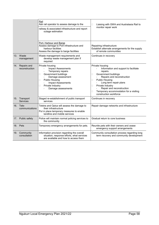|                                   | Rail<br>Ask rail operator to assess damage to the<br>railway & associated infrastructure and report<br>outage estimation                                                                                                                  | Liaising with GWA and Australasia Rail to<br>□<br>monitor repair work                                                                                                                                                                                                                                                  |
|-----------------------------------|-------------------------------------------------------------------------------------------------------------------------------------------------------------------------------------------------------------------------------------------|------------------------------------------------------------------------------------------------------------------------------------------------------------------------------------------------------------------------------------------------------------------------------------------------------------------------|
| 13. Waste<br>management           | Port, Harbour and Barge<br>Assess damage to Port infrastructure and<br>harbour facilities<br>Assess the damage to barge facilities<br>Waste management requirements and<br>develop waste management plan if                               | Repairing infrastructure<br>Establish alternate arrangements for the supply<br>of remote communities<br>Continues in recovery                                                                                                                                                                                          |
| 14. Repairs and<br>reconstruction | required<br>Private housing<br><b>Impact Assessments</b><br>Temporary repairs<br>Government buildings<br>□<br>Damage assessment<br><b>Public Housing</b><br>□<br><b>Impact Assessments</b><br>Private Industry<br>□<br>Damage assessments | Private housing<br>Information and support to facilitate<br>repairs.<br>Government buildings<br>□<br>Repairs and reconstruction<br><b>Public Housing</b><br>□<br>Long term repair plans<br>Private Industry<br>□<br>Repair and reconstruction<br>Temporary accommodation for a visiting<br>П<br>construction workforce |
| 15. Transport<br><b>Services</b>  | Staged re-establishment of public transport<br>services                                                                                                                                                                                   | Continues in recovery                                                                                                                                                                                                                                                                                                  |
| 16. Tele-<br>communications       | Telstra and Optus will assess the damage to<br>their infrastructure<br>Put in place temporary measures to enable<br>landline and mobile services                                                                                          | Repair damage networks and infrastructure                                                                                                                                                                                                                                                                              |
| 17. Public safety                 | Police will maintain normal policing services to<br>the community                                                                                                                                                                         | Gradual return to core business                                                                                                                                                                                                                                                                                        |
| 18. Pets                          | Temporary emergency arrangements for pets.                                                                                                                                                                                                | Reunite pets with their owners and cease<br>emergency support arrangements                                                                                                                                                                                                                                             |
| 19. Community<br>consultation     | Information provision regarding the overall<br>situation, response efforts, what services<br>are available and how to access them                                                                                                         | Community consultation process regarding long<br>term recovery and community development                                                                                                                                                                                                                               |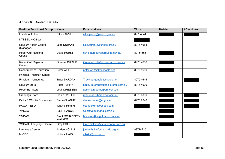#### **Annex M: Contact Details**

<span id="page-58-0"></span>

| <b>Position/Functional Group</b>          | <b>Name</b>                             | <b>Email address</b>              | <b>Work</b> | <b>Mobile</b> | <b>After Hours</b> |
|-------------------------------------------|-----------------------------------------|-----------------------------------|-------------|---------------|--------------------|
| <b>Local Controller</b>                   | Nikki JARVIS                            | nikki.jarvis@pfes.nt.gov.au       | 89754644    |               |                    |
| <b>NTES Duty Officer</b>                  |                                         |                                   |             |               |                    |
| <b>Ngukurr Health Centre</b><br>(Manager) | <b>Luke DURANT</b>                      | luke.durant@sunrise.org.au        | 8975 4688   |               |                    |
| Roper Gulf Regional<br>Council            | David HURST                             | david.hurst@ropergulf.nt.gov.au   | 89754656    |               |                    |
| Roper Gulf Regional<br>Council            | <b>Graeme CURTIS</b>                    | Graeme.curtis@ropergulf.nt.gov.au | 8975 4656   |               |                    |
| Department of Education                   | Peter WHITE                             | peter.white@ntschools.net         | 8975 4680   |               |                    |
| Principal - Ngukurr School                |                                         |                                   |             |               |                    |
| Principal - Urapunga                      | <b>Tracy DARGAN</b>                     | Tracy.dargan@ntschools.net        | 8975 4645   |               |                    |
| <b>Ngukurr Store</b>                      | Peter PERRY                             | ngukurrstore@outbackstores.com.au | 8975 4626   |               |                    |
| Roper Bar Store                           | Leah DRIESSEN                           | admin@roperbarpark.com.au         |             |               |                    |
| Urapunga Store                            | <b>Elaine DANIELS</b>                   | urapunga@bordernet.com.au         | 8975 4890   |               |                    |
| Parks & Wildlife Commission               | Diane CHANUT                            | diane.chanut@nt.gov.au            | 8975 9940   |               |                    |
| PAWA - ESO                                | Wayne Turland                           | esongukurr@outlook.com            |             |               |                    |
| <b>YMDAC</b>                              | Paul FRANCIS                            | Ceo@yugulmangi.com.au             |             |               |                    |
| <b>YMDAC</b>                              | <b>Brock SCHAEFER-</b><br><b>WALKER</b> | business@yugulmangi.com,au        |             |               |                    |
| YMDAC / Language Centre                   | <b>Greg DICKSON</b>                     | Greg.dickson@yugulmangi.com.au    |             |               |                    |
| Language Centre                           | Jordan HOLLIS                           | jordan.hollis@ngukurrlc.org.au    | 89774225    |               |                    |
| <b>MyCDP</b>                              | Victoria HAIG                           | v.haig@mycdp.co                   |             |               |                    |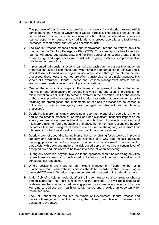#### <span id="page-59-0"></span>**Annex N: Debrief**

- 1. The purpose of this Annex is to provide a framework for a debrief process which complements the Whole of Government Debrief Process. The process should not be confused with training or exercise evaluations but rather considered as a lessons learned opportunity. Lessons learned leads to improved operational effectiveness, increased cost efficiency and reduced operational risk.
- 2. The Debrief Process embeds continuous improvement into the delivery of activities pursuant to the Territory Emergency Plan (TEP). Consistent approaches to lessons learned will encourage adaptability, and flexibility across all functional areas; sharing of knowledge and experiences will assist with ongoing continuous improvement of people and organisations.
- 3. Implemented judiciously, a lessons learned approach can have a positive impact on organisational culture commensurate with increasing opportunities to achieve goals. Whilst lessons learned often begins in one organisation through an internal debrief processes, those lessons learned are often transferable across multi-agencies; this Whole of Government Debrief Process and Lessons Management aims to ensure learnings are translatable across multiple organisations.
- 4. One of the most critical steps in the lessons management is the collection of information and observations of persons involved in the operation. The collection of this information is not limited to persons involved in the operation itself or the actions of those who provided a response, but includes those who had involvement prior to including the promulgation and implementation of plans (as lessons to be learned is not limited to how an emergency was managed but also includes the planning processes).
- 5. Debriefing is more than simply producing a report at the end of an operation. It forms part of the broader process of learning and has significant influential impact on an agency and sensitises people into doing the right thing. It prevents confusion and misinterpretation for future operations and drives home the main reasons the agency implores a lessons management system – to ensure that the agency learns from their mistakes and what they do well and drives continuous improvement.
- 6. Debriefs are not about distributing blame, but rather shifting focus towards improving capacity and capability to respond to incidents in a way that reflects improved planning, process, technology, support, training and development. The inevitability that exists with decisions made on a risk based approach carries a certain level of accepted risk and this needs to be taken into account when debriefing.
- 7. During any operation, anyone involved in the operation should be recording activities where there are lessons to be learned; activities can include decision making and consequential responses.
- 8. Where decisions are made by an Incident Management Team member or a Functional Group Leader, those decisions should be recorded in the Decision Log in the WebEOC event. Decision Logs can be referred to as part of the debrief process.
- 9. A Hot Debrief is held immediately after the incident response is complete or when a person concludes their shift in response to the incident. It allows rapid capture of real-time feedback aimed at addressing pressing or immediate concerns. This is a key time to address any health or safety issues and provides an opportunity for instant feedback.
- 10. The Hot Debrief will be fed into the Whole of Government Debrief Process and Lessons Management. For the purpose, the following template is to be used and uploaded to WebEOC.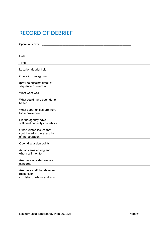# **RECORD OF DEBRIEF**

Operation / event: \_\_\_\_\_\_\_\_\_\_\_\_\_\_\_\_\_\_\_\_\_\_\_\_\_\_\_\_\_\_\_\_\_\_\_\_\_\_\_\_\_\_\_\_\_\_\_\_\_\_\_\_\_\_\_\_\_\_\_\_\_

| Date                                                                          |  |
|-------------------------------------------------------------------------------|--|
| Time                                                                          |  |
|                                                                               |  |
| Location debrief held                                                         |  |
| Operation background                                                          |  |
| (provide succinct detail of<br>sequence of events)                            |  |
| What went well                                                                |  |
| What could have been done<br>better                                           |  |
| What opportunities are there<br>for improvement                               |  |
| Did the agency have<br>sufficient capacity / capability                       |  |
| Other related issues that<br>contributed to the execution<br>of the operation |  |
| Open discussion points                                                        |  |
| Action items arising and<br>whom will monitor                                 |  |
| Are there any staff welfare<br>concerns                                       |  |
| Are there staff that deserve<br>recognition<br>detail of whom and why         |  |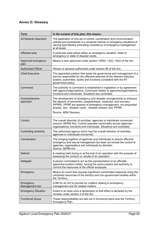# <span id="page-61-0"></span>**Annex O: Glossary**

| Term                         | In the context of this plan, this means:                                                                                                                                                                                                                                                         |  |
|------------------------------|--------------------------------------------------------------------------------------------------------------------------------------------------------------------------------------------------------------------------------------------------------------------------------------------------|--|
| All Hazards Approach         | The application of one set of control, coordination and communication<br>policies and procedures in a universal manner to emergency situations of<br>varying type thereby promoting consistency of emergency management<br>at all levels.                                                        |  |
| Affected area                | A particular area where either an emergency situation, state of<br>emergency or state of disaster exists.                                                                                                                                                                                        |  |
| Approved emergency<br>plan   | Means a plan approved under section 10930, 13(2), 16(2) of the Act.                                                                                                                                                                                                                              |  |
| <b>Authorised Officer</b>    | Person or persons authorised under section 98 of the Act.                                                                                                                                                                                                                                        |  |
| <b>Chief Executive</b>       | The appointed position that leads the governance and management of a<br>service responsible for the effective exercise of the relevant statutory<br>powers, authorities, duties and functions consistent with the NT<br>government policy.                                                       |  |
| Command                      | The authority to command is established in legislation or by agreement<br>with agency/organisations. Command relates to agencies/organisations,<br>functions and individuals. Situations are controlled.                                                                                         |  |
| Comprehensive<br>approach    | The development of emergency and disaster arrangements to embrace<br>the aspects of prevention, preparedness, response, and recovery<br>(PPRR). PPRR are aspects of emergency management, not sequential<br>phases. Syn. 'disaster cycle', 'disaster phases' and 'PPRR'.<br>Source: AEM Glossary |  |
| Control                      | The overall direction of activities, agencies or individuals concerned<br>(source; SERM Act). Control operates horizontally across agencies /<br>organisations, functions and individuals. Situations are controlled.                                                                            |  |
| <b>Controlling Authority</b> | The authorised agency which has the overall direction of activities,<br>agencies or individuals concerned.                                                                                                                                                                                       |  |
| Coordination                 | The bringing together of agencies and individuals to ensure effective<br>emergency and rescue management but does not include the control of<br>agencies, organisations and individuals by direction.<br>Source: SERM Act.                                                                       |  |
| Debrief                      | A meeting held during or at the end of an operation with the purpose of<br>assessing the conduct or results of an operation.                                                                                                                                                                     |  |
| Delegate                     | A person nominated to act as the representative of an officially<br>appointed position holder, having the same powers and authority to<br>commit the resources of the official employee.                                                                                                         |  |
| Emergency                    | Means an event that requires significant coordinated response using the<br>combined resources of the territory and non-government entities within<br>the Territory.                                                                                                                              |  |
| Emergency<br>Management Act  | A Bill for an Act to provide for matters relating to emergency<br>management and for related matters.                                                                                                                                                                                            |  |
| <b>Emergency Situation</b>   | Exists in an area once a declaration to that effect is declared by the<br>minister under section 3 of the Act.                                                                                                                                                                                   |  |
| <b>Functional Group</b>      | These responsibilities are laid out in functional plans and the Territory<br>Emergency Plan.                                                                                                                                                                                                     |  |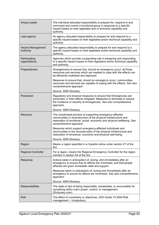| Group Leader                          | The individual allocated responsibility to prepare for, respond to and<br>command and control a functional group in response to a specific<br>hazard based on their legislated and or technical capability and<br>authority.      |
|---------------------------------------|-----------------------------------------------------------------------------------------------------------------------------------------------------------------------------------------------------------------------------------|
| Lead agency                           | An agency allocated responsibility to prepare for and respond to a<br>specific hazard based on their legislated and/or technical capability and<br>authority.                                                                     |
| <b>Hazard Management</b><br>Authority | The agency allocated responsibility to prepare for and respond to a<br>specific hazard based on their legislated and/or technical capability and<br>authority.                                                                    |
| Participating<br>organisations        | Agencies which provide a supporting role in preparing and responding<br>to a specific hazard based on their legislative and/or technical capability<br>and authority.                                                             |
| Preparedness                          | Arrangements to ensure that, should an emergency occur, all those<br>resources and services which are needed to cope with the effects can<br>be efficiently mobilised and deployed.                                               |
|                                       | Measures to ensure that, should an emergency occur, communities,<br>resources and services are capable of coping with the effects. See also<br>comprehensive approach.                                                            |
|                                       | Source: AEM Glossary.                                                                                                                                                                                                             |
| Prevention                            | Regulatory and physical measures to ensure that Emergencies are<br>prevented, or their effects mitigated. Measures to eliminate or reduce<br>the incidence or severity of emergencies. See also comprehensive<br>approach.        |
|                                       | Source: AEM Glossary.                                                                                                                                                                                                             |
| Recovery                              | The coordinated process of supporting emergency-affected<br>communities in reconstruction of the physical infrastructure and<br>restoration of emotional, social, economic and physical wellbeing. See<br>comprehensive approach. |
|                                       | Measures which support emergency-affected individuals and<br>communities in the reconstruction of the physical infrastructure and<br>restoration of emotional, economic and physical well-being.                                  |
|                                       | Source: AEM Glossary.                                                                                                                                                                                                             |
| Region                                | Means a region specified in a Gazette notice under section 27 of the<br>Act.                                                                                                                                                      |
| <b>Regional Controller</b>            | For a region, means the Regional Emergency Controller for the region<br>mention in section 54 of the Act.                                                                                                                         |
| Response                              | Actions taken in anticipation of, during, and immediately after an<br>emergency to ensure that its effects are minimised, and that people<br>affected are given immediate relief and support.                                     |
|                                       | Measures taken in anticipation of, during and immediately after an<br>emergency to ensure its effects are minimised. See also comprehensive<br>approach.                                                                          |
|                                       | Source: AEM Glossary.                                                                                                                                                                                                             |
| Responsibilities                      | The state or fact of being responsible, answerable, or accountable for<br>something within one's power, control, or management.<br>(Dictionary.com)                                                                               |
| <b>Risk</b>                           | The effect of uncertainty or objectives. (ISO Guide 73.2009 Risk<br>management - Vocabulary)                                                                                                                                      |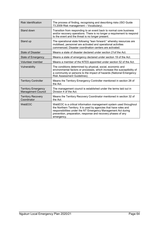| <b>Risk Identification</b>                              | The process of finding, recognising and describing risks (ISO Guide<br>73.2009 Risk management - Vocabulary).                                                                                                                                                                           |  |
|---------------------------------------------------------|-----------------------------------------------------------------------------------------------------------------------------------------------------------------------------------------------------------------------------------------------------------------------------------------|--|
| Stand down                                              | Transition from responding to an event back to normal core business<br>and/or recovery operations. There is no longer a requirement to respond<br>to the event and the threat is no longer present.                                                                                     |  |
| Stand up                                                | The operational state following "lean forward:" whereby resources are<br>mobilised, personnel are activated and operational activities<br>commenced. Disaster coordination centers are activated.                                                                                       |  |
| <b>State of Disaster</b>                                | Means a state of disaster declared under section 21 of the Act.                                                                                                                                                                                                                         |  |
| <b>State of Emergency</b>                               | Means a state of emergency declared under section 19 of the Act.                                                                                                                                                                                                                        |  |
| Volunteer member                                        | Means a member of the NTES appointed under section 52 of the Act.                                                                                                                                                                                                                       |  |
| Vulnerability                                           | The conditions determined by physical, social, economic and<br>environmental factors or processes, which increase the susceptibility of<br>a community or persons to the impact of hazards (National Emergency<br>Risk Assessment Guidelines).                                          |  |
| <b>Territory Controller</b>                             | Means the Territory Emergency Controller mentioned in section 28 of<br>the Act.                                                                                                                                                                                                         |  |
| <b>Territory Emergency</b><br><b>Management Council</b> | The management council is established under the terms laid out in<br>Division 4 of the Act.                                                                                                                                                                                             |  |
| <b>Territory Recovery</b><br>Coordinator                | Means the Territory Recovery Coordinator mentioned in section 32 of<br>the Act.                                                                                                                                                                                                         |  |
| WebEOC                                                  | WebEOC is a critical information management system used throughout<br>the Northern Territory. It is used by agencies that have roles and<br>responsibilities under the NT Emergency Management Act during<br>prevention, preparation, response and recovery phases of any<br>emergency. |  |